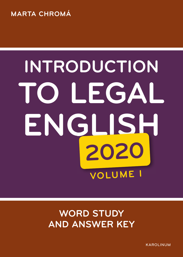# **MARTA CHROMÁ**

# **INTRODUCTION TO LEGAL ENGLISH 2020 VOLUME I**

**WORD STUDY AND ANSWER KEY**

KAROLINUM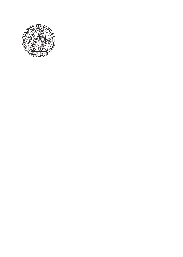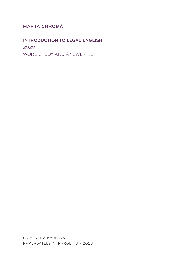## **MARTA CHROMÁ**

## **INTRODUCTION TO LEGAL ENGLISH**

2020 WORD STUDY AND ANSWER KEY

UNIVERZITA KARLOVA NAKLADATELSTVÍ KAROLINUM 2020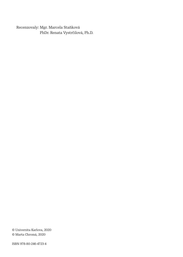Recenzovaly: Mgr. Marcela Staňková PhDr. Renata Vystrčilová, Ph.D.

© Univerzita Karlova, 2020 © Marta Chromá, 2020

ISBN 978-80-246-4723-4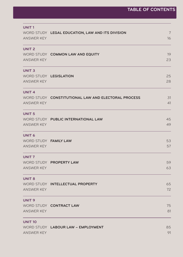| <b>UNIT1</b><br><b>ANSWER KEY</b>                            | WORD STUDY LEGAL EDUCATION, LAW AND ITS DIVISION    | $\overline{7}$<br>16 |
|--------------------------------------------------------------|-----------------------------------------------------|----------------------|
| <b>UNIT 2</b><br><b>ANSWER KEY</b>                           | WORD STUDY COMMON LAW AND EQUITY                    | 19<br>23             |
| <b>UNIT 3</b><br>WORD STUDY LEGISLATION<br><b>ANSWER KEY</b> |                                                     | 25<br>28             |
| UNIT <sub>4</sub><br><b>ANSWER KEY</b>                       | WORD STUDY CONSTITUTIONAL LAW AND ELECTORAL PROCESS | 31<br>41             |
| <b>UNIT 5</b><br><b>ANSWER KEY</b>                           | WORD STUDY PUBLIC INTERNATIONAL LAW                 | 45<br>49             |
| <b>UNIT 6</b><br>WORD STUDY FAMILY LAW<br><b>ANSWER KEY</b>  |                                                     | 53<br>57             |
| UNIT <sub>7</sub><br><b>ANSWER KEY</b>                       | WORD STUDY PROPERTY LAW                             | 59<br>63             |
| <b>UNIT 8</b><br><b>ANSWER KEY</b>                           | WORD STUDY INTELLECTUAL PROPERTY                    | 65<br>72             |
| UNIT <sub>9</sub><br><b>ANSWER KEY</b>                       | WORD STUDY CONTRACT LAW                             | 75<br>81             |
| UNIT <sub>10</sub><br>ANSWER KEY                             | WORD STUDY LABOUR LAW - EMPLOYMENT                  | 85<br>91             |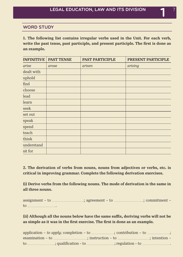## <span id="page-6-0"></span>**WORD STUDY**

**1. The following list contains irregular verbs used in the Unit. For each verb, write the past tense, past participle, and present participle. The first is done as an example.**

| <b>INFINITIVE</b> | <b>PAST TENSE</b> | <b>PAST PARTICIPLE</b> | PRESENT PARTICIPLE |
|-------------------|-------------------|------------------------|--------------------|
| arise             | arose             | arisen                 | arising            |
| dealt with        |                   |                        |                    |
| uphold            |                   |                        |                    |
| find              |                   |                        |                    |
| choose            |                   |                        |                    |
| lead              |                   |                        |                    |
| learn             |                   |                        |                    |
| seek              |                   |                        |                    |
| set out           |                   |                        |                    |
| speak             |                   |                        |                    |
| spend             |                   |                        |                    |
| teach             |                   |                        |                    |
| think             |                   |                        |                    |
| understand        |                   |                        |                    |
| sit for           |                   |                        |                    |

**2. The derivation of verbs from nouns, nouns from adjectives or verbs, etc. is critical in improving grammar. Complete the following derivation exercises.**

**(i) Derive verbs from the following nouns. The mode of derivation is the same in all three nouns.**

assignment – to  $\ldots$  agreement – to  $\ldots$  agreement – to  $\ldots$   $\ldots$   $\ldots$ ; commitment – to ---------- ----------.

**(ii) Although all the nouns below have the same suffix, deriving verbs will not be as simple as it was in the first exercise. The first is done as an example.**

| to $\ldots$ qualification - to $\ldots$ regulation - to $\ldots$ |  |  |
|------------------------------------------------------------------|--|--|

**1**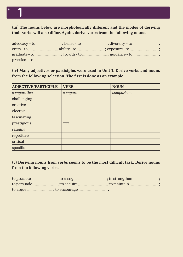

**1**

## **(iii) The nouns below are morphologically different and the modes of deriving their verbs will also differ. Again, derive verbs from the following nouns.**

## **(iv) Many adjectives or participles were used in Unit 1. Derive verbs and nouns from the following selection. The first is done as an example.**

| <b>ADJECTIVE/PARTICIPLE</b> | <b>VERB</b> | <b>NOUN</b> |
|-----------------------------|-------------|-------------|
| comparative                 | compare     | comparison  |
| challenging                 |             |             |
| creative                    |             |             |
| elective                    |             |             |
| fascinating                 |             |             |
| prestigious                 | <b>XXX</b>  |             |
| ranging                     |             |             |
| repetitive                  |             |             |
| critical                    |             |             |
| specific                    |             |             |

## **(v) Deriving nouns from verbs seems to be the most difficult task. Derive nouns from the following verbs.**

|  | to promote ; to recognise ; to strengthen ; |
|--|---------------------------------------------|
|  |                                             |
|  |                                             |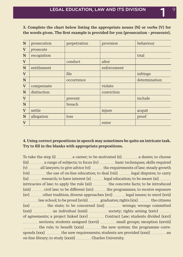**3. Complete the chart below listing the appropriate nouns (N) or verbs (V) for the words given. The first example is provided for you (prosecution –** *prosecute***).**

| ${\bf N}$                 | prosecution | perpetration | provision   | behaviour     |
|---------------------------|-------------|--------------|-------------|---------------|
| $\boldsymbol{\mathrm{V}}$ | prosecute   |              |             |               |
| N                         | recognition |              |             | trial         |
| $\overline{\mathbf{V}}$   |             | conduct      | alter       |               |
| ${\bf N}$                 | entitlement |              | enforcement |               |
| $\overline{\mathbf{V}}$   |             | file         |             | infringe      |
| ${\bf N}$                 |             | occurrence   |             | determination |
| $\mathbf V$               | compensate  |              | violate     |               |
| ${\bf N}$                 | distinction |              | conviction  |               |
| $\overline{\mathbf{V}}$   |             | prevent      |             | include       |
| ${\bf N}$                 |             | breach       |             |               |
| $\overline{\mathbf{V}}$   | settle      |              | injure      | acquit        |
| N                         | allegation  | loss         |             | proof         |
| $\overline{\mathbf{V}}$   |             |              | enter       |               |

## **4. Using correct prepositions in speech may sometimes be quite an intricate task. Try to fill in the blanks with appropriate prepositions.**

To take the step  $(i)$   $\dots$  $\dots$  $i$  a career; to be motivated  $(ii)$   $\dots$  $i$  $i$  $i$  $j$  $j$  $k$  $k$  $k$  $j$   $k$   $k$   $k$   $k$   $k$ (iii)  $\ldots$ <sub>c</sub> a range of subjects; to focus (iv)  $\ldots$ <sub>c</sub> basic techniques; skills required (v) ............. all lawyers; to give advice (vi) ............. the requirements of law; steady growth (vii)  $\ldots$ <sub>1</sub> ............... the use of on-line education; to deal (viii)  $\ldots$ <sub>1</sub> legal disputes; to carry  $(ix)$   $\dots$  research; to have interest  $(x)$   $\dots$  legal education; to be aware  $(xi)$   $\dots$ intricacies of law; to apply the rule (xii) ................... the concrete facts; to be introduced (xiii) .............. civil law; to be different (xiv) .............. the programmes; to receive exposure (xv)  $\ldots$ <sub>1</sub> other tradition; diverse approaches (xvi)  $\ldots$ <sub>1</sub> legal issues; to enrol (xvii) ham law school; to be proud (xviii) ............. graduates; rights (xix) ............. the citizens (xx)  $\ldots$  the state; to be concerned (xxi)  $\ldots$  wrongs; wrongs committed  $(xxi)$   $\ldots$  an individual  $(xxiii)$   $\ldots$  society; rights arising  $(xxi)$   $\ldots$   $\ldots$ of agreements; a project linked (xxv) ....................Contract Law; students divided (xxvi) ................. sections; students assigned (xxvii) ................. small groups; exception (xxviii) ------------- the rule; to benefit (xxix) ------------- the new system; the programme corresponds (xxx)  $\ldots$  $\ldots$  $\ldots$  the new requirements; students are provided (xxxi)  $\ldots$  $\ldots$  $\ldots$ on-line library; to study (xxxii) ................. Charles University.

**1**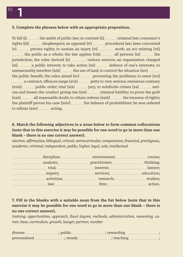## **5. Complete the phrases below with an appropriate preposition.**

To fall (i)  $\ldots$ , the ambit of public law; in contrast (ii)  $\ldots$ , criminal law; consumer's rights (iii)  $\ldots$  $\ldots$  $\ldots$  shopkeepers; as opposed (iv)  $\ldots$  $\ldots$  $\ldots$  procedural law; laws concerned (v)  $\ldots$ <sub>i</sub> private rights; to sustain an injury (vi)  $\ldots$  $\ldots$  $\ldots$  work; an act relating (vii) the public as a whole; the law applies (viii) ............. all persons (ix) ............. the jurisdiction; the rules derived  $(x)$   $\ldots$  various sources; an organization charged  $(x_i)$   $\ldots$  a public interest; to take action  $(x_i)$   $\ldots$  defence of one's interests; to  $unreasonably interfere (xiii)$   $...$  the use of land; to control the situation  $(xiv)$   $...$   $...$ the public benefit; the rules aimed  $(xv)$   $\ldots$  preventing the problems; to enter  $(xvi)$ .............. a contract; offences range (xvii) ............. petty to very serious; omissions contrary  $(xviii)$   $\dots$  public order; trial  $(xix)$   $\dots$  $xv;$  to subdivide crimes  $(xx)$   $\dots$  $xv$  serious and lesser; the conduct giving rise (xxi) ---------- criminal liability; to prove the guilt (xxii)  $\ldots$ <sub>i</sub> all reasonable doubt; to obtain redress (xxiii)  $\ldots$ <sub>i</sub> the invasion of rights; the plaintiff proves his case (xxiv) ............. the balance of probabilities; he was ordered to refrain  $(xxy)$   $\dots$  acting.

## **6. Match the following adjectives to a noun below to form common collocations (note that in this exercise it may be possible for one word to go in more than one blank – there is no one correct answer).**

*elective, affirmative, bilingual, critical, extracurricular, comparative, financial, prestigious, academic, criminal, independent, public, higher, legal, sole, intellectual*

## **7. Fill in the blanks with a suitable noun from the list below (note that in this exercise it may be possible for one word to go in more than one blank – there is no one correct answer).**

*training, opportunities, approach, (law) degree, methods, administration, reasoning, career, base, curriculum, growth, lawyer, partner, number*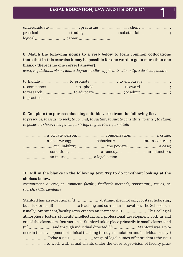## **8. Match the following nouns to a verb below to form common collocations (note that in this exercise it may be possible for one word to go in more than one blank – there is no one correct answer).**

*work, regulations, views, law, a degree, studies, applicants, diversity, a decision, debate*

|  | to handle ; to promote ; to encourage ; |  |
|--|-----------------------------------------|--|
|  |                                         |  |
|  |                                         |  |
|  |                                         |  |

## **9. Complete the phrases choosing suitable verbs from the following list.**

*to prescribe; to issue; to seek; to commit; to sustain; to sue; to constitute; to enter; to claim; to govern; to hear; to lay down; to bring; to give rise to; to obtain*

## **10. Fill in the blanks in the following text. Try to do it without looking at the choices below.**

*commitment, diverse, environment, faculty, feedback, methods, opportunity, issues, research, skills, seminars*

Stanford has an exceptional (i)  $\ldots$  $\ldots$  $\ldots$  $\ldots$  $\ldots$ , distinguished not only for its scholarship, but also for its (ii)  $\ldots$  -----------------------to teaching and curricular innovation. The School's unusually low student/faculty ratio creates an intimate (iii) --------------------. This collegial atmosphere fosters students' intellectual and professional development both in and out of the classroom. Instruction at Stanford takes place primarily in small classes and (iv)  $\ldots$  and through individual directed (v)  $\ldots$  Stanford was a pioneer in the development of clinical teaching through simulation and individualized (vi) --------------------. Today a (vii) -------------------- range of legal clinics offer students the (viii) -------------------- to work with actual clients under the close supervision of faculty prac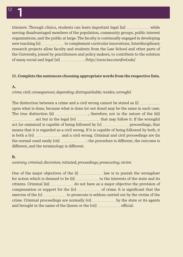titioners. Through clinics, students can learn important legal (ix)  $\ldots$  $\ldots$  $\ldots$  $\ldots$  $\ldots$  $\ldots$  while serving disadvantaged members of the population, community groups, public interest organizations, and the public at large. The faculty is continually engaged in developing new teaching (x) -------------------- to complement curricular innovations. Interdisciplinary research projects allow faculty and students from the Law School and other parts of the University, joined by practitioners and policy makers, to contribute to the solution of many social and legal (xi) --------------------. *(http://www.law.stanford.edu)*

## **11. Complete the sentences choosing appropriate words from the respective lists.**

## **A.**

## *crime; civil; consequences; depending; distinguishable; resides; wrongful*

The distinction between a crime and a civil wrong cannot be stated as (i)  $\ldots$ upon what is done, because what is done (or not done) may be the same in each case. The true distinction (ii)  $\ldots$  -----------------------, therefore, not in the nature of the (iii) -------------------- act but in the legal (iv) -------------------- that may follow it. If the wrongful act (or omission) is capable of being followed by (v) ----------------------- proceedings, that means that it is regarded as a civil wrong. If it is capable of being followed by both, it is both a (vi) ----------------------- and a civil wrong. Criminal and civil proceedings are (in the normal case) easily (vii)  $\ldots$  the procedure is different, the outcome is different, and the terminology is different.

## **B.**

## *contrary; criminal; discretion; initiated; proceedings; prosecuting; victim*

One of the major objectives of the (i) -------------------- law is to punish the wrongdoer for action which is deemed to be (ii)  $\ldots$  $\ldots$  $\ldots$  $\ldots$  $\ldots$  to the interests of the state and its citizens. Criminal (iii)  $\ldots$  $\ldots$  $\ldots$  $\ldots$  $\ldots$  $\ldots$  $\ldots$  do not have as a major objective the provision of compensation or support for the (iv)  $\ldots$  $\ldots$  $\ldots$  $\ldots$  of crime. It is significant that the exercise of the (v) -------------------- to prosecute is seldom carried out by the victim of the crime. Criminal proceedings are normally (vi) -------------------- by the state or its agents and brought in the name of the Queen or the (vii) -------------------- official.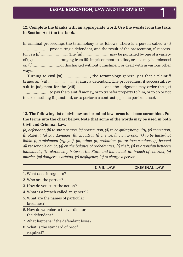## **12. Complete the blanks with an appropriate word. Use the words from the texts in Section A of the textbook.**

|       | In criminal proceedings the terminology is as follows. There is a person called a (i) |
|-------|---------------------------------------------------------------------------------------|
|       | manumumumum prosecuting a defendant, and the result of the prosecution, if success-   |
|       |                                                                                       |
|       |                                                                                       |
|       |                                                                                       |
| ways. |                                                                                       |

Turning to civil (vi)  $\ldots$  ---------------------, the terminology generally is that a plaintiff brings an (vii) ----------------------- against a defendant. The proceedings, if successful, result in judgment for the  $(viii)$   $\ldots$   $\dots$  and the judgment may order the  $(ix)$ ----------------------- to pay the plaintiff money, or to transfer property to him, or to do or not to do something (injunction), or to perform a contract (specific performance).

## **13. The following list of civil law and criminal law terms has been scrambled. Put the terms into the chart below. Note that some of the words may be used in both Civil and Criminal Law.**

*(a) defendant, (b) to sue a person, (c) prosecution, (d) to be guilty/not guilty, (e) conviction, (f) plaintiff, (g) pay damages, (h) acquittal, (i) offence, (j) civil wrong, (k) to be liable/not liable, (l) punishment (e.g. jail), (m) crime, (n) probation, (o) tortious conduct, (p) beyond all reasonable doubt, (q) on the balance of probabilities, (r) theft, (s) relationship between individuals, (t) relationship between the State and individual, (u) breach of contract, (v) murder, (w) dangerous driving, (x) negligence, (y) to charge a person*

|                                         | <b>CIVII. LAW</b> | <b>CRIMINAL LAW</b> |
|-----------------------------------------|-------------------|---------------------|
| 1. What does it regulate?               |                   |                     |
| 2. Who are the parties?                 |                   |                     |
| 3. How do you start the action?         |                   |                     |
| 4. What is a breach called, in general? |                   |                     |
| 5. What are the names of particular     |                   |                     |
| breaches?                               |                   |                     |
| 6. How do we refer to the verdict for   |                   |                     |
| the defendant?                          |                   |                     |
| 7. What happens if the defendant loses? |                   |                     |
| 8. What is the standard of proof        |                   |                     |
| required?                               |                   |                     |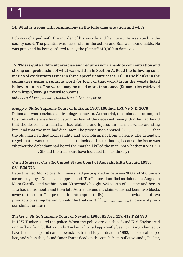## **14. What is wrong with terminology in the following situation and why?**

Bob was charged with the murder of his ex-wife and her lover. He was sued in the county court. The plaintiff was successful in the action and Bob was found liable. He was punished by being ordered to pay the plaintiff \$10,000 in damages.

**15. This is quite a difficult exercise and requires your absolute concentration and strong comprehension of what was written in Section A. Read the following summaries of evidentiary issues in three specific court cases. Fill in the blanks in the summaries using a suitable word (or form of that word) from the words listed below in italics. The words may be used more than once. (Summaries retrieved from http://www.garretwilson.com)**

*actions; evidence; include; allow; true; introduce; error*

## *Knapp v. State***, Supreme Court of Indiana, 1907, 168 Ind. 153, 79 N.E. 1076**

Defendant was convicted of first-degree murder. At the trial, the defendant attempted to show self defense by indicating his fear of the deceased, saying that he had heard that the deceased, a marshall, had clubbed and injured an old man while arresting him, and that the man had died later. The prosecution showed (i) ----------------------- that the old man had died from senility and alcoholism, not from violence. The defendant urged that it was (ii) ----------------------- to include this testimony, because the issue was whether the defendant had heard the marshall killed the man, not whether it was (iii) -----------------------. Should the trial court have included this testimony?

## *United States v. Carrillo***, United States Court of Appeals, Fifth Circuit, 1993, 981 F.2d 772**

Detective Leo Alonzo over four years had participated in between 300 and 500 undercover drug buys. One day he approached "Tito", later identified as defendant Augustin Mora Carrillo, and within about 30 seconds bought \$20 worth of cocaine and heroin Tito had in his mouth and then left. At trial defendant claimed he had been two blocks away at the time. The prosecution attempted to (iv) ----------------------- evidence of two prior acts of selling heroin. Should the trial court (v)  $\ldots$  $\ldots$  $\ldots$  $\ldots$  $\ldots$  $\ldots$  evidence of previous similar crimes?

## *Tucker v. State***, Supreme Court of Nevada, 1966, 82 Nev. 127, 412 P.2d 970**

In 1957 Tucker called the police. When the police arrived they found Earl Kaylor dead on the floor from bullet wounds. Tucker, who had apparently been drinking, claimed to have been asleep and came downstairs to find Kaylor dead. In 1963, Tucker called police, and when they found Omar Evans dead on the couch from bullet wounds, Tucker,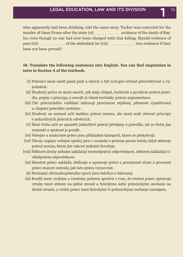who apparently had been drinking, told the same story. Tucker was convicted for the murder of Omar Evans after the state (vi) ----------------------- evidence of the death of Kaylor, even though no one had ever been charged with that killing. Should evidence of past (vii)  $\ldots$  $\ldots$  $\ldots$  $\ldots$  $\ldots$  $\ldots$  of the defendant be (viii)  $\ldots$  $\ldots$  $\ldots$  $\ldots$  $\ldots$  $\ldots$  into evidence if they have not been proved?

## **16. Translate the following sentences into English. You can find inspiration in texts in Section A of the textbook.**

- (i) Právníci musí umět jasně psát a mluvit a být schopni účinně přesvědčovat a vyjednávat.
- (ii) Studenti práva se musí naučit, jak mají chápat, hodnotit a používat právní pravidla, pojmy a principy, a osvojit si různé techniky právní argumentace.
- (iii) Cíle právnického vzdělání zahrnují preciznost myšlení, přesnost vyjadřování a chápání právního systému.
- (iv) Studenti se nemusí učit každou právní normu, ale musí znát obecné principy v jednotlivých právních odvětvích.
- (v) Není třeba učit se zpaměti jednotlivé právní předpisy a pravidla, ale je třeba jim rozumět a správně je použít.
- (vi) Veřejné a soukromé právo jsou příkladem kategorií, které se překrývají.
- (vii) Úkony orgánu veřejné správy jsou v souladu s právem pouze tehdy, když existuje právní norma, která jim takové jednání dovoluje.
- (viii) Některé druhy jednání zakládají trestněprávní odpovědnost, některé zakládají civilněprávní odpovědnost.
- (ix) Hmotné právo zakládá, definuje a upravuje práva a povinnosti stran a procesní právo stanoví metody, jak tato práva vynucovat.
- (x) Stranami občanskoprávního sporu jsou žalobce a žalovaný.
- (xi) Rozdíl mezi civilním a trestním právem spočívá v tom, že trestní právo upravuje vztahy mezi státem na jedné straně a fyzickými nebo právnickými osobami na druhé straně, a civilní právo mezi fyzickými či právnickými osobami navzájem.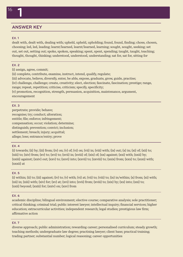## <span id="page-15-0"></span>**ANSWER KEY**

#### **EX. 1**

dealt with, dealt with, dealing with; upheld, upheld, upholding; found, found, finding; chose, chosen, choosing; led, led, leading; learnt/learned, learnt/learned, learning; sought, sought, seeking; set out, set out, setting out; spoke, spoken, speaking; spent, spent, spending; taught, taught, teaching; thought, thought, thinking; understood, understood, understanding; sat for, sat for, sitting for

#### **EX. 2**

(i) assign, agree, commit;

- (ii) complete, contribute, examine, instruct, intend, qualify, regulate;
- (iii) advocate, believe, diversify, enter, be able, expose, graduate, grow, guide, practise;
- (iv) challenge, challenge; create, creativity; elect, election; fascinate, fascination; prestige; range,

range; repeat, repetition; criticise, criticism; specify, specificity;

(v) promotion, recognition, strength, persuasion, acquisition, maintenance, argument, encouragement

#### **EX. 3**

perpetrate; provide; behave; recognise; try; conduct; alteration; entitle; file; enforce; infringement; compensation; occur; violation; determine; distinguish; prevention; convict; inclusion; settlement; breach; injury; acquittal; allege; lose; entrance/entry; prove

#### **EX. 4**

(i) towards; (ii) by; (iii) from; (iv) on; (v) of; (vi) on; (vii) in; (viii) with; (ix) out; (x) in; (xi) of; (xii) to;  $(xiii)$  to;  $(xiv)$  from;  $(xv)$  to;  $(xvi)$  to;  $(xvii)$  in;  $(xviii)$  of;  $(xix)$  of;  $(xx)$  against;  $(xxi)$  with;  $(xxii)$  by; (xxiii) against; (xxiv) out; (xxv) to; (xxvi) into; (xxvii) to; (xxviii) to; (xxix) from; (xxx) to; (xxxi) with; (xxxii) at

#### **EX. 5**

(i) within; (ii) to; (iii) against; (iv) to; (v) with; (vi) at; (vii) to; (viii) to; (ix) in/within; (x) from; (xi) with; (xii) in; (xiii) with; (xiv) for; (xv) at; (xvi) into; (xvii) from; (xviii) to; (xix) by; (xx) into; (xxi) to; (xxii) beyond; (xxiii) for; (xxiv) on; (xxv) from

#### **EX. 6**

academic discipline; bilingual environment; elective course; comparative analysis; sole practitioner; critical thinking; criminal trial; public interest lawyer; intellectual inquiry; financial services; higher education; extracurricular activities; independent research; legal studies; prestigious law firm; affirmative action

#### **EX. 7**

diverse approach; public administration; rewarding career; personalised curriculum; steady growth; teaching methods; undergraduate law degree; practising lawyer; client base; practical training; trading partner; substantial number; logical reasoning; career opportunities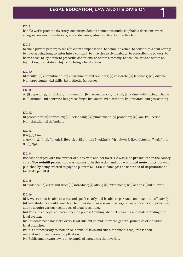#### **EX. 8**

handle work; promote diversity; encourage debate; commence studies; uphold a decision; award a degree; research regulations; advocate views; admit applicants, practise law

#### **EX. 9**

to sue a private person; to seek/to claim compensation; to commit a crime; to constitute a civil wrong; to govern behaviour; to enter into a contract; to give rise to civil liability; to prescribe the powers; to hear a case; to lay down/to prescribe conditions; to obtain a remedy; to seek/to issue/to obtain an injunction; to sustain an injury; to bring a legal action

#### **EX. 10**

(i) faculty; (ii) commitment; (iii) environment; (iv) seminars; (v) research; (vi) feedback; (vii) diverse; (viii) opportunity; (ix) skills; (x) methods; (xi) issues

#### **EX. 11**

A. (i) depending; (ii) resides; (iii) wrongful; (iv) consequences; (v) civil; (vi) crime; (vii) distinguishable B. (i) criminal; (ii) contrary; (iii) proceedings; (iv) victim; (v) discretion; (vi) initiated; (vii) prosecuting

#### **EX. 12**

(i) prosecutor; (ii) conviction; (iii) defendant; (iv) punishment; (v) probation; (vi) law; (vii) action; (viii) plaintiff; (ix) defendant

#### **EX. 13**

(Civ.)//(Crim.) 1. (s)//(t); 2. (f),(a)//(c),(a); 3. (b)//(y); 4. (j)//(i),(m); 5. (o),(u),(x)//(r)(v)(w); 6. (k)//(d),(e),(h); 7. (g)//(l)(n); 8.  $(q)/(p)$ 

#### **EX. 14**

Bob was charged with the murder of his ex-wife and her lover. He was sued **prosecuted** in the county court. The plaintiff **prosecutor** was successful in the action and Bob was found liable **guilty**. He was punished by being ordered to pay the plaintiff \$10,000 in damages **the sentence of imprisonment** (or death penalty).

#### **EX. 15**

(i) evidence; (ii) error; (iii) true; (iv) introduce; (v) allow; (vi) introduced; (vii) actions; (viii) allowed

#### **EX. 16**

(i) Lawyers must be able to write and speak clearly and be able to persuade and negotiate effectively. (ii) Law students should learn how to understand, assess and use legal rules, concepts and principles, and to acquire various techniques of legal reasoning.

(iii) The aims of legal education include precise thinking, distinct speaking and understanding the legal system.

(iv) Students need not learn every legal rule but should know the general principles of individual legal branches.

(v) It is not necessary to memorize individual laws and rules, but what is required is their understanding and correct application.

(vi) Public and private law is an example of categories that overlap.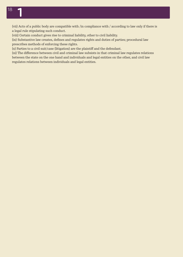(vii) Acts of a public body are compatible with /in compliance with / according to law only if there is a legal rule stipulating such conduct.

(viii) Certain conduct gives rise to criminal liability, other to civil liability.

(ix) Substantive law creates, defines and regulates rights and duties of parties; procedural law prescribes methods of enforcing these rights.

(x) Parties to a civil suit/case (litigation) are the plaintiff and the defendant.

(xi) The difference between civil and criminal law subsists in that criminal law regulates relations between the state on the one hand and individuals and legal entities on the other, and civil law regulates relations between individuals and legal entities.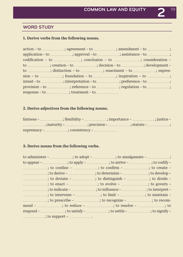## <span id="page-18-0"></span>**WORD STUDY**

## **1. Derive verbs from the following nouns.**

| application - to ; approval - to ; assistance - to ;                            |  |
|---------------------------------------------------------------------------------|--|
| $codification - to $ : $conclusion - to $ : $conclusion - to $ : $conclusion -$ |  |
| to ; creation - to ; decision - to ; development -                              |  |
| to ; distinction - to ; enactment - to ; expres-                                |  |
|                                                                                 |  |
|                                                                                 |  |
| $provision - to $ ; reference - to ; regulation - to ;                          |  |
| response - to ; treatment - to                                                  |  |

## **2. Derive adjectives from the following nouns.**

| fairness - ; flexibility - ; importance - ; justice - |  |  |
|-------------------------------------------------------|--|--|
|                                                       |  |  |
| supremacy - ; consistency -                           |  |  |

## **3. Derive nouns from the following verbs.**

|  | to administer - ; to adopt - ; to amalgamate - ;     |  |
|--|------------------------------------------------------|--|
|  | to appear - ; to apply - ; to arrive - ; to codify - |  |
|  |                                                      |  |
|  | ; to derive - ; to determine - ; to develop -        |  |
|  | ; to deviate - ; to distinguish - ; to divide -      |  |
|  | ; to enact - ; to evolve - ; to govern -             |  |
|  | ; to indicate - ; to influence - ; to interpret -    |  |
|  | ; to intervene - ; to limit - ; to maintain -        |  |
|  | ; to prescribe - ; to recognize - ; to recom-        |  |
|  | mend - ; to reduce - ; to resolve - ; to             |  |
|  |                                                      |  |
|  |                                                      |  |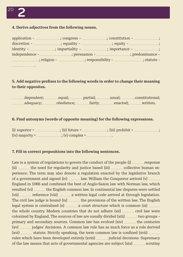

## **4. Derive adjectives from the following nouns.**

| identity - ; impartiality - ; importance - ;   |  |  |
|------------------------------------------------|--|--|
| independence - ; persuasion - ; predominance - |  |  |
| ; religion - ; responsibility - ; statute -    |  |  |
|                                                |  |  |

## **5. Add negative prefixes to the following words in order to change their meaning to their opposites.**

-----------dependent; ------------equal; ------------partial; ------------usual; ------------constitutional; -----------adequacy; ------------obedience; ------------fairly; ------------enacted; -----------written.

## **6. Find antonyms (words of opposite meaning) for the following expressions.**

(i) superior  $\times$   $\ldots$   $\ldots$   $\ldots$   $\ldots$   $\ldots$   $\ldots$   $\ldots$   $\ldots$   $\ldots$   $\ldots$   $\ldots$   $\ldots$   $\ldots$   $\ldots$   $\ldots$   $\ldots$   $\ldots$   $\ldots$   $\ldots$   $\ldots$   $\ldots$   $\ldots$   $\ldots$   $\ldots$   $\ldots$   $\ldots$   $\ldots$   $\ldots$   $\ldots$   $\ldots$   $\ldots$   $\ldots$   $\ldots$   $\ldots$  $(iv)$  majority  $\times$   $\dots$   $(v)$  complex  $\times$   $\dots$   $\dots$ 

## **7. Fill in correct prepositions into the following sentences.**

Law is a system of regulations to govern the conduct of the people (i)  $\ldots$  response (ii)  $\ldots$ , the need for regularity and justice based (iii)  $\ldots$ , collective human experience. The term may also denote a regulation enacted by the legislative branch of a government and signed (iv)  $\ldots$  $\ldots$  $\ldots$  law. William the Conqueror arrived (v)  $\ldots$  $\ldots$  $\ldots$ England in 1066 and combined the best of Anglo-Saxon law with Norman law, which resulted (vi)  $\ldots$  the English common law. In continental law disputes were settled (vii)  $\ldots$ <sub>c</sub> reference (viii)  $\ldots$ <sub>c</sub> a written legal code arrived at through legislation. The civil law judge is bound  $(ix)$   $\ldots$  the provisions of the written law. The English legal system is centralised  $(x)$   $\dots$  a court structure which is common  $(xi)$   $\dots$ the whole country. Modern countries that do not adhere (xii) ............. civil law were colonized by England. The sources of law are usually divided  $(xiii)$   $\ldots$  $\ldots$  $\ldots$ , two groups – primary and secondary sources. Common law has evolved (xiv) ---------- the centuries (xv)  $\ldots$ <sub>u</sub> iudges' decisions. A common law rule has as much force as a rule derived (xvi)  $\ldots$  $\ldots$  statute. Strictly speaking, the term common law is confined (xvii)  $\ldots$  $\ldots$ rules which have been developed entirely (xviii)  $\ldots$  indicial decisions. Supremacy of the law means that acts of governmental agencies are subject (xix)  $\ldots$  scrutiny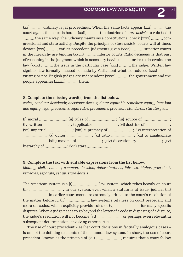(xx)  $\ldots$ , ordinary legal proceedings. When the same facts appear (xxi)  $\ldots$ , the court again, the court is bound (xxii)  $\ldots$ <sub>court</sub> the doctrine of *stare decisis* to rule (xxiii) ---------- the same way. The judiciary maintains a constitutional check (xxiv) ---------- congressional and state activity. Despite the principle of *stare decisis*, courts will at times deviate (xxv)  $\ldots$ , earlier precedent. Judgments given (xxvi)  $\ldots$ , superior courts in the hierarchy are binding (xxvii)  $\ldots$  inferior courts. *Ratio decidendi* is that part of reasoning in the judgment which is necessary (xxviii)  $_{\ldots,\ldots,\ldots}$  order to determine the law  $(x\text{six})$   $\ldots$ , the issue in the particular case  $(x\text{xx})$   $\ldots$ , the judge. Written law signifies law formally enacted or made by Parliament whether reduced  $(xxxi)$  ............ writing or not. English judges are independent  $(xxxii)$   $_{\dots}$  the government and the people appearing (xxxiii) ............. them.

## **8. Complete the missing word(s) from the list below.**

*codes; conduct; decidendi; decisions; decisis; dicta; equitable remedies; equity; law; law and equity; legal precedents; legal rules; precedents; provision; standards; statutory law*

|  | (i) moral $\ldots$ (iii) rules of $\ldots$ (iii) source of $\ldots$                   |  |
|--|---------------------------------------------------------------------------------------|--|
|  | (iv) written $\ldots$ (v) applicable $\ldots$ (vi) doctrine of $\ldots$ (vi) $\ldots$ |  |
|  |                                                                                       |  |
|  |                                                                                       |  |
|  | $\ldots$ (xiii) maxims of $\ldots$ (xiv) discretionary $\ldots$ (xv)                  |  |
|  |                                                                                       |  |

## **9. Complete the text with suitable expressions from the list below.**

*binding, civil, combine, common, decision, determinations, fairness, higher, precedent, remedies, separate, set up, stare decisis*

The American system is a (i) ---------------------- law system, which relies heavily on court (ii) ------------------------------. In our system, even when a statute is at issue, judicial (iii) ---------------------- in earlier court cases are extremely critical to the court's resolution of the matter before it. (iv) -------------------- law systems rely less on court precedent and more on codes, which explicitly provide rules of  $(v)$   $\ldots$  $\ldots$  $\ldots$  $\ldots$  $\ldots$  for many specific disputes. When a judge needs to go beyond the letter of a code in disposing of a dispute, the judge's resolution will not become (vi)  $\ldots$  $\ldots$  $\ldots$  $\ldots$  or perhaps even relevant in subsequent determinations involving other parties.

The use of court precedent – earlier court decisions in factually analogous cases – is one of the defining elements of the common law system. In short, the use of court precedent, known as the principle of (vii)  $\ldots$  requires that a court follow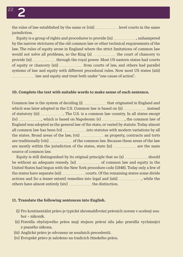

the rules of law established by the same or (viii) ............................ level courts in the same jurisdiction.

Equity is a group of rights and procedures to provide  $(ix)$   $\ldots$  $\ldots$  $\ldots$  $\ldots$ , unhampered by the narrow strictures of the old common law or other technical requirements of the law. The rules of equity arose in England where the strict limitations of common law would not solve all problems, so the King (x) -------------------- the court of chancery to provide (xi) -------------------- through the royal power. Most US eastern states had courts of equity or chancery (xii)  $\ldots$  from courts of law, and others had parallel systems of law and equity with different procedural rules. Now most US states (xiii) ...........................law and equity and treat both under "one cause of action".

#### **10. Complete the text with suitable words to make sense of each sentence.**

Common law is the system of deciding (i) -------------------- that originated in England and which was later adopted in the U.S. Common law is based on (ii) -------------------- instead of statutory (iii) --------------------. The U.S. is a common law country. In all states except (iv)  $\ldots$  $\ldots$  $\ldots$  $\ldots$ , which is based on Napoleonic (v)  $\ldots$  $\ldots$  $\ldots$  $\ldots$ , the common law of England was adopted as the general law of the state, or varied by statute. Today almost all common law has been (vi) -------------------- into statutes with modern variations by all the states. Broad areas of the law, (vii) ........................... as property, contracts and torts are traditionally (viii) -------------------- of the common law. Because these areas of the law are mostly within the jurisdiction of the states, state  $(ix)$   $\ldots$  $\ldots$  $\ldots$  $\ldots$  $\ldots$  are the main source of common law.

Equity is still distinguished by its original principle that no  $(x)$   $\ldots$  $\ldots$  $\ldots$  $\ldots$  $\ldots$  $\ldots$  should be without an adequate remedy. (xi) -------------------- of common law and equity in the United States had begun with the New York procedure code (1848). Today only a few of the states have separate (xii) -------------------- courts. Of the remaining states some divide actions and (to a lesser extent) remedies into legal and (xiii) ........................, while the others have almost entirely (xiv) -------------------- the distinction.

#### **11. Translate the following sentences into English.**

- (i) Pro kontinentální právo je typické shromažďování právních norem v ucelený soubor – zákoník.
- (ii) Pravidla obyčejového práva mají stejnou právní sílu jako pravidla vycházející z psaného zákona.
- (iii) Anglické právo je odvozeno ze soudních precedentů.
- (iv) Evropské právo je založeno na tradicích římského práva.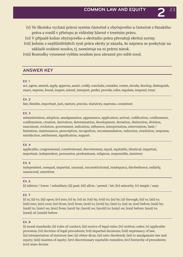- <span id="page-22-0"></span>(vi) V případě kolize obyčejového a ekvitního práva převažují ekvitní normy.
- (vii) Jedním z nejdůležitějších rysů práva ekvity je zásada, že náprava se poskytuje na základě uvážení soudce, tj. neexistuje na ni právní nárok.
- (viii) Rozsudky vynesené vyšším soudem jsou závazné pro nižší soud.

## **ANSWER KEY**

#### **EX. 1**

act, agree, amend, apply, approve, assist, codify, conclude, consider, create, decide, develop, distinguish, enact, express, found, inspire, intend, interpret, prefer, provide, refer, regulate, respond, treat.

#### **EX. 2**

fair, flexible, important, just, mature, precise, statutory, supreme, consistent

#### **EX. 3**

administration, adoption, amalgamation, appearance, application, arrival, codification, confinement, confirmation, creation, derivation, determination, development, deviation, distinction, division, enactment, evolution, government, indication, influence, interpretation, intervention, limit / limitation, maintenance, prescription, recognition, recommendation, reduction, resolution, response, satisfaction, settlement, signification, support.

#### **EX. 4**

applicable, congressional, constitutional, discretionary, equal, equitable, identical, impartial, important, independent, persuasive, predominant, religious, responsible, statutory

#### **EX. 5**

independent, unequal, impartial, unusual, unconstitutional, inadequacy, disobedience, unfairly, unenacted, unwritten

#### **EX. 6**

(i) inferior / lower / subsidiary; (ii) past; (iii) allow / permit / let; (iv) minority; (v) simple / easy

#### **EX. 7**

(i) in; (ii) to; (iii) upon; (iv) into; (v) in; (vi) in; (vii) by; (viii) to; (ix) by; (x) through; (xi) to; (xii) to; (xiii) into; (xiv) over; (xv) from; (xvi) from; (xvii) to; (xviii) by; (xix) to; (xx) in; (xxi) before; (xxii) by; (xxiii) in; (xxiv) on; (xxv) from; (xxvi) by; (xxvii) on; (xxviii) in; (xxix) on; (xxx) before; (xxxi) to; (xxxii) of; (xxxiii) before

#### **EX. 8**

(i) moral standards; (ii) rules of conduct; (iii) source of legal rules; (iv) written codes; (v) applicable provision; (vi) doctrine of legal precedents; (vii) impartial decisions; (viii) supremacy of law; (ix) interpretation of statutory law; (x) obiter dicta; (xi) ratio decidendi; (xii) to amalgamate law and equity; (xiii) maxims of equity; (xiv) discretionary equitable remedies; (xv) hierarchy of precedents; (xvi) stare decisis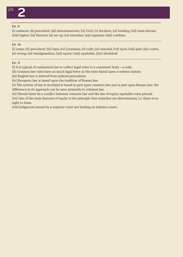

#### **EX. 9**

(i) common; (ii) precedent; (iii) determinations; (iv) Civil; (v) decision; (vi) binding; (vii) stare decisis; (viii) higher; (ix) fairness; (x) set up; (xi) remedies; (xii) separate; (xiii) combine

#### **EX. 10**

(i) cases; (ii) precedent; (iii) laws; (iv) Louisiana; (v) code; (vi) enacted; (vii) such; (viii) part; (ix) courts; (x) wrong; (xi) Amalgamation; (xii) equity; (xiii) equitable; (xiv) abolished

#### **EX. 11**

(i) It is typical of continental law to collect legal rules to a consistent body – a code.

(ii) Common law rules have as much legal force as the rules based upon a written statute.

(iii) English law is derived from judicial precedents.

(iv) European law is based upon the tradition of Roman law.

(v) The system of law in Scotland is based in part upon common law and in part upon Roman law; the difference in its approach can be seen primarily in criminal law.

(vi) Should there be a conflict between common law and the law of equity equitable rules prevail.

(vii) One of the main features of equity is the principle that remedies are discretionary, i.e. there is no right to them.

(viii) Judgments issued by a superior court are binding on inferior courts.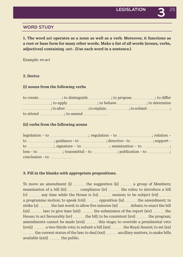## <span id="page-24-0"></span>**WORD STUDY**

**1. The word** *act* **operates as a noun as well as a verb. Moreover, it functions as a root or base form for many other words. Make a list of all words (nouns, verbs, adjectives) containing** *‑act‑***. (Use each word in a sentence.)**

Example: *en-act*

## **2. Derive**

## **(i) nouns from the following verbs**

|  | to create ; to distinguish ; to propose ; to differ |
|--|-----------------------------------------------------|
|  |                                                     |
|  |                                                     |
|  |                                                     |

## **(ii) verbs from the following nouns**

|  | to ; guidance - to ; directive - to ; support - |  |
|--|-------------------------------------------------|--|
|  |                                                 |  |
|  |                                                 |  |
|  |                                                 |  |

## **3. Fill in the blanks with appropriate prepositions.**

To move an amendment (i)  $\ldots$  the suggestion (ii)  $\ldots$  a group of Members; examination of a bill (iii)  $\ldots$  $\ldots$  $\ldots$  compliance (iv)  $\ldots$  $\ldots$  $\ldots$ , the rules; to introduce a bill  $(v)$   $\dots$  $\dots$  $\dots$  any time while the House is  $(vi)$   $\dots$  $\dots$  $\dots$ , session; to be subject  $(vii)$   $\dots$  $\dots$  $\dots$ a programme motion; to speak (viii)  $\ldots$  opposition (ix)  $\ldots$  the amendment; to strike (x)  $\ldots$ <sub>the last word</sub>; to allow five minutes (xi)  $\ldots$ <sub>c</sub> debate; to enact the bill (xii)  $\ldots$ <sub>1</sub> law; to give time (xiii)  $\ldots$ <sub>1</sub> the submission of the report (xiv)  $\ldots$ <sub>1</sub> the House; to act favourably  $(xv)$   $\ldots$  the bill; to be consistent  $(xvi)$   $\ldots$  the program; amendments cannot be made (xvii)  $\ldots$ <sub>1</sub> this stage; to override a presidential veto  $(xviii)$   $\dots$  a two-thirds vote; to submit a bill  $(xix)$   $\dots$  the Royal Assent; to set  $(xx)$ ............. the current status of the law; to deal (xxi) ............. ancillary matters, to make bills available (xxii) ............ the public.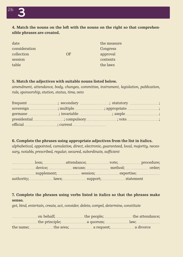

## **4. Match the nouns on the left with the nouns on the right so that comprehensible phrases are created.**

| date          |    | the measure |
|---------------|----|-------------|
| consideration |    | Congress    |
| collection    | OF | approval    |
| session       |    | contents    |
| table         |    | the laws    |
|               |    |             |

## **5. Match the adjectives with suitable nouns listed below.**

*amendment, attendance, body, changes, committee, instrument, legislation, publication, rule, sponsorship, station, status, time, veto*

|  | frequent ; secondary ; statutory ; |
|--|------------------------------------|
|  |                                    |
|  |                                    |
|  |                                    |
|  |                                    |

## **6. Complete the phrases using appropriate adjectives from the list in italics.**

*alphabetical, appointed, cumulative, direct, electronic, guaranteed, local, majority, necessary, notable, prescribed, regular, secured, subordinate, sufficient*

|  | authority; laws; support; statement |  |
|--|-------------------------------------|--|

## **7. Complete the phrases using verbs listed in italics so that the phrases make sense.**

*get, bind, entertain, create, act, consider, delete, compel, determine, constitute*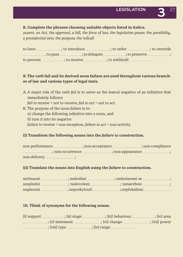## **8. Complete the phrases choosing suitable objects listed in italics.**

*assent, an Act, the approval, a bill, the force of law, the legislative power, the possibility, a presidential veto, the purpose, the rollcall*

|  | to prevent ; to receive ; to withhold |  |
|--|---------------------------------------|--|

## **9. The verb fail and its derived noun failure are used throughout various branches of law and various types of legal texts.**

- A. A major role of the verb *fail* is to serve as the lexical negative of an infinitive that immediately follows:
	- *fail to receive* = not to receive, *fail to act* = not to act
- B. The purpose of the noun *failure* is to:
	- a) change the following infinitive into a noun, and
	- b) turn it into its negative
	- *failure to receive* = non-reception, *failure to act* = non-activity

## **(i) Transform the following nouns into the** *failure* **to construction.**

| $\ldots$ , $\ldots$ , $\ldots$ , $\ldots$ non-occurrence $\ldots$ , $\ldots$ is non-appearance $\ldots$ $\ldots$ . |  |
|--------------------------------------------------------------------------------------------------------------------|--|
|                                                                                                                    |  |

## **(ii) Translate the nouns into English using the** *failure* **to construction.**

## **10. Think of synonyms for the following nouns.**

|  | (i) support $\ldots$ (ii) stage $\ldots$ (iii) behaviour $\ldots$ (iv) area |  |
|--|-----------------------------------------------------------------------------|--|
|  | ; (v) statement ; (vi) change ; (vii) power                                 |  |
|  | ; (viii) type ; (ix) range                                                  |  |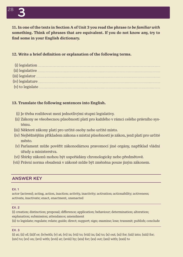<span id="page-27-0"></span>

**11. In one of the texts in Section A of Unit 3 you read the phrase** *to be familiar with* **something. Think of phrases that are equivalent. If you do not know any, try to find some in your English dictionary.**

## **12. Write a brief definition or explanation of the following terms.**

## **13. Translate the following sentences into English.**

- (i) Je třeba rozlišovat mezi jednotlivými stupni legislativy.
- (ii) Zákony se všeobecnou působností platí pro každého v rámci celého právního systému.
- (iii) Některé zákony platí pro určité osoby nebo určité místo.
- (iv) Nejběžnějším příkladem zákona s místní působností je zákon, jenž platí pro určité město.
- (v) Parlament může pověřit zákonodárnou pravomocí jiné orgány, například vládní úřady a ministerstva.
- (vi) Sbírky zákonů mohou být uspořádány chronologicky nebo předmětově.
- (vii) Právní norma obsažená v zákoně může být změněna pouze jiným zákonem.

## **ANSWER KEY**

#### **EX. 1**

actor (actress); acting, action, inaction; activity, inactivity; activation; actionability; activeness; activate, inactivate; enact, enactment, unenacted

#### **EX. 2**

(i) creation; distinction; proposal; difference; application; behaviour; determination; alteration; explanation; submission; attendance; amendment

(ii) to legislate; regulate; relate; guide; direct; support; sign; examine; lose; transmit; publish; conclude

#### **EX. 3**

(i) at; (ii) of; (iii)f or; (iv)with; (v) at; (vi) in; (vii) to; (viii) in; (ix) to; (x) out; (xi) for; (xii) into; (xiii) for;  $(xiv)$  to;  $(xv)$  on;  $(xvi)$  with;  $(xvii)$  at;  $(xviii)$  by;  $(xix)$  for;  $(xx)$  out;  $(xxi)$  with;  $(xxii)$  to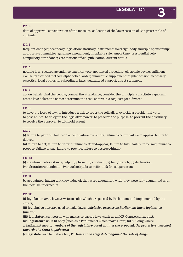#### **EX. 4**

date of approval; consideration of the measure; collection of the laws; session of Congress; table of contents

#### **EX. 5**

frequent changes; secondary legislation; statutory instrument; sovereign body; multiple sponsorship; appropriate committee; germane amendment; invariable rule; ample time; presidential veto; compulsory attendance; vote station; official publication; current status

#### **EX. 6**

notable loss; secured attendance; majority vote; appointed procedure; electronic device; sufficient excuse; prescribed method; alphabetical order; cumulative supplement; regular session; necessary expertise; local authority; subordinate laws; guaranteed support; direct statement

#### **EX. 7**

act on behalf; bind the people; compel the attendance; consider the principle; constitute a quorum; create law; delete the name; determine the area; entertain a request; get a divorce

#### **EX. 8**

to have the force of law; to introduce a bill; to order the rollcall; to override a presidential veto; to pass an Act; to delegate the legislative power; to preserve the purpose; to prevent the possibility; to receive the approval; to withhold assent

#### **EX. 9**

(i) failure to perform; failure to accept; failure to comply; failure to occur; failure to appear; failure to deliver.

(ii) failure to act; failure to deliver; failure to attend/appear; failure to fulfil; failure to permit; failure to propose; failure to pay; failure to provide; failure to obstruct/hinder

#### **EX. 10**

(i) maintenance/assistance/help; (ii) phase; (iii) conduct; (iv) field/branch; (v) declaration;

(vi) alteration/amendment; (vii) authority/force; (viii) kind; (ix) scope/extent

#### **EX. 11**

be acquainted: having fair knowledge of; they were acquainted with; they were fully acquainted with the facts; be informed of

#### **EX. 12**

(i) **legislation** *noun* laws *or* written rules which are passed by Parliament and implemented by the courts;

(ii) **legislative** *adjective* used to make laws; *legislative processes; Parliament has a legislative function*;

(iii) **legislator** *noun* person who makes or passes laws (such as an MP, Congressman, etc.);

(iv) **legislature** *noun* (i) body (such as a Parliament) which makes laws; (ii) building where

a Parliament meets; *members of the legislature voted against the proposal*; *the protesters marched towards the State Legislature;*

(v) **legislate** verb to make a law; *Parliament has legislated against the sale of drugs*.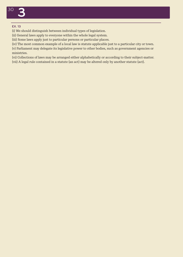

#### **EX. 13**

(i) We should distinguish between individual types of legislation.

(ii) General laws apply to everyone within the whole legal system.

(iii) Some laws apply just to particular persons or particular places.

(iv) The most common example of a local law is statute applicable just to a particular city or town.

(v) Parliament may delegate its legislative power to other bodies, such as government agencies or ministries.

(vi) Collections of laws may be arranged either alphabetically or according to their subject-matter.

(vii) A legal rule contained in a statute (an act) may be altered only by another statute (act).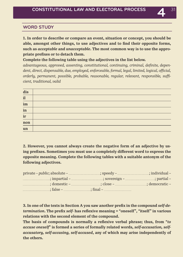## <span id="page-30-0"></span>**WORD STUDY**

**1. In order to describe or compare an event, situation or concept, you should be able, amongst other things, to use adjectives and to find their opposite forms, such as** *acceptable* **and** *unacceptable***. The most common way is to use the appropriate prefixes or to detach them.**

**Complete the following table using the adjectives in the list below.**

*advantageous, approved, assenting, constitutional, continuing, criminal, definite, dependent, direct, dispensable, due, employed, enforceable, formal, legal, limited, logical, official, orderly, permanent, possible, probable, reasonable, regular, relevant, responsible, sufficient, traditional, valid*

**2. However, you cannot always create the negative form of an adjective by using prefixes. Sometimes you must use a completely different word to express the opposite meaning. Complete the following tables with a suitable antonym of the following adjectives.**

| private - public; absolute - ; speedy - ; individual - |  |
|--------------------------------------------------------|--|
|                                                        |  |
|                                                        |  |
| ; false - ; final -                                    |  |

**3. In one of the texts in Section A you saw another prefix in the compound** *self-de‑ termination***. The prefix** *self‑* **has reflexive meaning = "oneself", "itself" in various relations with the second element of the compound.**

**The basis of compounds is normally a reflexive verbal phrase; thus, from "***to accuse oneself***" is formed a series of formally related words,** *self-accusation, selfaccusatory, self-accusing, self-accused***, any of which may arise independently of the others.**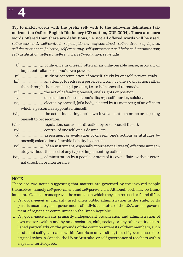

**Try to match words with the prefix self- with to the following definitions taken from the Oxford English Dictionary (CD edition, OUP 2004). There are more words offered than there are definitions, i.e. not all offered words will be used.** *self-assessment; self-centred; self-confidence; self-contained; self-control; self-defence; self-destruction; self-elected; self-executing; self-government; self-help; self-incrimination;* 

*self-justification; self-pity; self-reliance; self-regulation; self-study*

- (i) -------------------- confidence in oneself; often in an unfavourable sense, arrogant or impudent reliance on one's own powers.
- (ii)  $\ldots$ <sub>1</sub> study or contemplation of oneself. Study by oneself; private study.
- (iii) -------------------- an attempt to redress a perceived wrong by one's own action rather than through the normal legal process, i.e. to help oneself to remedy.
- (iv)  $\ldots$   $\ldots$   $\ldots$   $\ldots$  the act of defending oneself, one's rights or position.
- (v) -------------------- destruction of oneself, one's life; *esp.* self-murder, suicide.
- (vi) -------------------- elected by oneself, (of a body) elected by its members; of an office to which a person has appointed himself.
- (vii)  $\ldots$ <sub>1</sub>  $\ldots$ <sub>1</sub>  $\ldots$ <sub>2</sub>  $\ldots$ <sub>1</sub>  $\ldots$ <sub>1</sub>  $\ldots$ <sub>1</sub>  $\ldots$ <sub>1</sub>  $\ldots$ <sub>1</sub>  $\ldots$ <sub>1</sub>  $\ldots$ <sub>1</sub>  $\ldots$ <sub>1</sub>  $\ldots$ <sub>1</sub>  $\ldots$ <sub>1</sub>  $\ldots$ <sub>1</sub>  $\ldots$ <sub>1</sub>  $\ldots$ <sub>1</sub>  $\ldots$ <sub>1</sub>  $\ldots$ <sub>1</sub>  $\ldots$ <sub>1</sub>  $\ldots$ <sub>1</sub>  $\ldots$ <sub>1</sub>  $\ldots$ <sub>1</sub>  $\ldots$ <sub>1</sub>  $\ldots$ <sub>1</sub> oneself to prosecution.
- (viii) -------------------- regulation, control, or direction by or of oneself (itself).
- $(ix)$   $\ldots$   $\ldots$  control of oneself, one's desires, etc.
- (x)  $\ldots$  assessment or evaluation of oneself, one's actions or attitudes by oneself; calculation of taxable liability by oneself.
- (xi)  $\ldots$  (of an instrument, especially international treaty) effective immediately without the need of any type of implementing action.
- (xii) -------------------- administration by a people or state of its own affairs without external direction or interference.

## **NOTE**

There are two nouns suggesting that matters are governed by the involved people themselves, namely *self-government* and *self-governance*. Although both may be translated into Czech as samospráva, the contexts in which they can be used or found differ.

- i. *Self-government* is primarily used when public administration in the state, or its part, is meant, e.g. self-government of individual states of the USA, or self-government of regions or communities in the Czech Republic.
- ii. *Self-governance* means primarily independent organization and administration of own matters within and by an association, club, society or any other entity established particularly on the grounds of the common interests of their members, such as student self-governance within American universities, the self-governance of aboriginal tribes in Canada, the US or Australia, or self-governance of teachers within a specific territory, etc.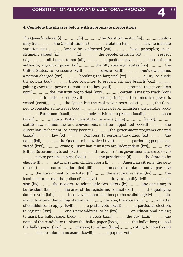## **4. Complete the phrases below with appropriate prepositions.**

The Queen's role set (i)  $\ldots$  (ii)  $\ldots$  the Constitution Act; (iii) $\ldots$  conformity (iv)<sub>--------------</sub> the Constitution; (v)<sub>---------------</sub> violation (vi)<sub>---------------</sub> law; to indicate variation (vii)<sub>--------------</sub> law; to be conformed (viii)  $\ldots$  $\ldots$  $\ldots$  $\ldots$  basic principles; an instrument agreed (ix)-------------- **(**x)-------------- the people; decision (xi)-------------- respect (xii)<sub>---------------</sub> all issues; to act (xiii)  $\ldots$  $\ldots$  $\ldots$ , opposition (xiv) $\ldots$  $\ldots$  $\ldots$ , the ultimate authority; a grant of power (xv)<sub>---------------</sub> the fifty sovereign states (xvi)---------------- the United States; to be secure (xvii)<sub>---------------</sub> seizure (xviii)<sub>--------------</sub> one's own home; a person charged (xix)<sub>---------------</sub> breaking the law; trial (xx)<sub>---------------</sub> a jury; to divide the powers (xxi)-------------- three branches; to prevent any one branch (xxii)------------- gaining excessive power; to contest the law (xxiii)-------------- grounds that it conflicts (xxiv)<sub>----------------</sub> the Constitution; to deal (xxv)  $\ldots$ <sub>certain</sub> issues; to track (xxvi) -------------- criminals; to set (xxvii)-------------- basic principles; the executive power is vested (xxviii).................. the Queen but the real power rests (xxix)................... the Cabinet; to consider some issues (xxx)<sub>----------------</sub> a federal level; ministers answerable (xxxi) -------------- Parliament (xxxii)-------------- their activities; to preside (xxxiii)-------------- cases (xxxiv)<sub>---------------</sub> courts; British constitution is made (xxxv) ---------------- (xxxvi)-----------------statute law, common law and conventions; ministers appointed (xxxvii)-------------- the Australian Parliament; to carry (xxxviii)..................... the government programs enacted (xxxix)-------------- law (lx) -------------- Congress; to perform the duties (lxi)-------------- the name (lxii)  $\ldots$ <sub>the</sub> Queen; to be involved (lxiii)  $\ldots$ <sub>n</sub> pardoning people convicted (lxiv)<sub>--------------</sub> crimes; Australian ministers are independent (lxv)<sub>---------------</sub> the British Government; to act (lxvi)........................the advice of the government; to serve (lxvii) ---------- juries; persons subject (lxviii) ---------- the jurisdiction (il) ---------- the State; to be eligible (l)  $\ldots$  naturalization; children born (li)  $\ldots$  American citizens; the petition (lii)  $\ldots$ <sub>1</sub> aturalization filed (liii)  $\ldots$ <sub>1</sub> the court; to take an active part (liv) the government; to be listed (lx) ............. the electoral register (lvi) ............. the local electoral area; the police officer (lvii)  $\ldots$  $\ldots$  $\ldots$ , duty; to qualify (lviii)  $\ldots$  $\ldots$  $\ldots$ . inclusion (lix)  $\ldots$ , the register; to admit only two voters (lx)  $\ldots$ , any one time; to be resident (lxi)  $\ldots$  the area of the registering council (lxii)  $\ldots$  the qualifying date; to vote (lxiii)  $\ldots$  local government elections; to be available (lxiv)  $\ldots$  demand; to attend the polling station (lxv)  $\ldots$  $\ldots$  $\ldots$  person; the vote (lxvi)  $\ldots$  $\ldots$  $\ldots$  a matter of confidence; to apply (lxvii) ---------- a postal vote (lxviii) ---------- a particular election; to register (lxix)  $\ldots$  one's new address; to be (lxx)  $\ldots$  an educational course; to mark the ballot paper  $(lxxi)$   $\ldots$  a cross  $(lxxi)$   $\ldots$  the box  $(lxxi)$   $\ldots$  the name of the candidate; to place the ballot paper (lxxiv) ............. the ballot box; to spoil the ballot paper  $(lxxv)$   $\ldots$  mistake; to refrain  $(lxxvi)$   $\ldots$  voting; to vote  $(lxxvii)$ ............. bills; to submit a measure (lxxviii) ............. a popular vote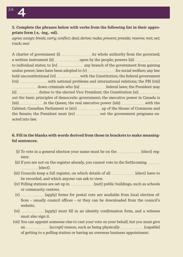

## **5. Complete the phrases below with verbs from the following list in their appropriate form (-s, -ing, -ed).**

*agree; assign; break; carry; conflict; deal; derive; make; prevent; provide; reserve; rest; set; track; vest*

A charter of government (i)  $\dots$  its whole authority from the governed; a written instrument (ii)  $\ldots$  upon by the people; powers (iii)  $\ldots$ to individual states; to (iv) ---------------------- any branch of the government from gaining undue power; laws have been adopted to  $(v)$   $\ldots$  $\ldots$  $\ldots$  $\ldots$  $\ldots$  $\ldots$  for social welfare; any law held unconstitutional (vi)  $\ldots$  with the Constitution; the federal government (vii) ------------------------ with national problems and international relations; the FBI (viii) ---------------------- down criminals who (ix) ---------------------- federal laws; the President may  $(x)$   $\ldots$  $\ldots$  $\ldots$  $\ldots$  $\ldots$  duties to the elected Vice President; the Constitution  $(xi)$   $\ldots$  $\ldots$  $\ldots$ out the basic principles of democratic government; the executive power in Canada is (xii)  $\ldots$  $\ldots$  $\ldots$  $\ldots$  in the Queen; the real executive power (xiii)  $\ldots$  $\ldots$  $\ldots$  $\ldots$  $\ldots$  $\ldots$  with the Cabinet; Canadian Parliament is (xiv) -------------------- up of the House of Commons and the Senate; the President must  $(xv)$   $\ldots$  $\ldots$  $\ldots$  $\ldots$  $\ldots$  $\ldots$  out the government programs enacted into law.

## **6. Fill in the blanks with words derived from those in brackets to make meaningful sentences.**

- (i) To vote in a general election your name must be on the -------------------- (elect) register.
- (ii) If you are not on the register already, you cannot vote in the forthcoming ............. --------------- (elect).
- (iii) Councils keep a full register, on which details of all -------------------- (elect) have to be recorded, and which anyone can ask to view.
- (iv) Polling stations are set up in  $\ldots$  ------------------------ (suit) public buildings, such as schools or community centres.
- (v)  $\ldots$  (apply) forms for postal vote are available from local election offices – usually council offices – or they can be downloaded from the council's website.
- (vi)  $\ldots$  (apply) must fill in an identity confirmation form, and a witness must also sign it.
- (vii) You can appoint someone else to cast your vote on your behalf, but you must give an  $\ldots$  (accept) reason, such as being physically  $\ldots$  (capable) (capable) of getting to a polling station or having an overseas business appointment.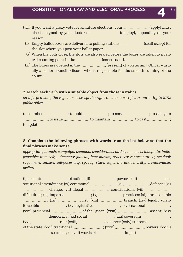- (viii) If you want a proxy vote for all future elections, your ---------------------- (apply) must also be signed by your doctor or ------------------------ (employ), depending on your reason.
	- (ix) Empty ballot boxes are delivered to polling stations -------------------- (seal) except for the slot where you post your ballot paper.
	- (x) When the polls close, the slots are also sealed before the boxes are taken to a central counting point in the ---------------------- (constituent).
	- (xi) The boxes are opened in the  $\ldots$  (present) of a Returning Officer usually a senior council officer – who is responsible for the smooth running of the count.

## **7. Match each verb with a suitable object from those in italics.**

*on a jury; a vote; the registers; secrecy; the right to vote; a certificate; authority to MPs; public office*

|  | $\ldots$ ; to issue $\ldots$ ; to maintain $\ldots$ , to cast $\ldots$ , $\ldots$ , $\ldots$ , $\ldots$ , $\ldots$ , $\ldots$ , $\ldots$ , $\ldots$ , $\ldots$ , $\ldots$ , $\ldots$ , $\ldots$ , $\ldots$ , $\ldots$ , $\ldots$ , $\ldots$ , $\ldots$ , $\ldots$ , $\ldots$ , $\ldots$ , $\ldots$ , $\ldots$ , $\ldots$ , $\ldots$ , |  |
|--|---------------------------------------------------------------------------------------------------------------------------------------------------------------------------------------------------------------------------------------------------------------------------------------------------------------------------------------|--|
|  |                                                                                                                                                                                                                                                                                                                                       |  |

## **8. Complete the following phrases with words from the list below so that the final phrases make sense.**

*appropriate; branch; campaign; common; considerable; duties; immense; indefinite; indispensable; itemized; judgments; judicial; law; maxim; practices; representative; residual; royal; rule; seizure; self-governing; speedy; state; sufficient; undue; unity; unreasonable; welfare*

| stitutional amendment; (iv) ceremonial ; (v) defence; (vi) |  |
|------------------------------------------------------------|--|
|                                                            |  |
|                                                            |  |
|                                                            |  |
| forceable ; (xv) legislative ; (xvi) national ;            |  |
|                                                            |  |
| democracy; (xx) social ; (xxi) sovereign ;                 |  |
|                                                            |  |
|                                                            |  |
|                                                            |  |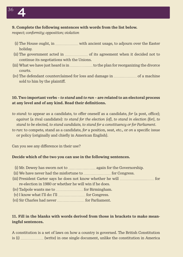

## **9. Complete the following sentences with words from the list below.**

*respect; conformity; opposition; violation*

- (i) The House ought, in  $\ldots$  ---------------------- with ancient usage, to adjourn over the Easter holiday.
- (ii) The government acted in  $\ldots$  of its agreement when it decided not to continue its negotiations with the Unions.
- (iii) What we have just heard is in -------------------- to the plan for reorganizing the divorce courts.
- (iv) The defendant counterclaimed for loss and damage in  $\ldots$  $\ldots$  $\ldots$  $\ldots$  of a machine sold to him by the plaintiff.

## **10. Two important verbs –** *to stand* **and** *to run* **– are related to an electoral process at any level and of any kind. Read their definitions.**

- *to stand*: to appear as a candidate, to offer oneself as a candidate, *for* (a post, office); *against* (a rival candidate): *to stand for the election (of)*, *to stand in election (for)*, *to stand to be elected, to stand candidate, to stand for a constituency or for Parliament*.
- *to run*: to compete, stand as a candidate, *for* a position, seat, etc., or *on* a specific issue or policy (originally and chiefly in American English).

Can you see any difference in their use?

## **Decide which of the two you can use in the following sentences.**

- (i) Mr. Dewey has sworn not to ------------------------ again for the Governorship.
- (ii) We have never had the misfortune to .................................. for Congress.
- (iii) President Carter says he does not know whether he will ------------------------------ for re-election in 1980 or whether he will win if he does.
- (iv) Tadpole wants me to ------------------------ for Birmingham.
- $(v)$  I know what I'll do: I'll  $\ldots$   $\ldots$  for Congress.
- (vi) Sir Charles had never  $\ldots$  for Parliament.

## **11. Fill in the blanks with words derived from those in brackets to make meaningful sentences.**

A constitution is a set of laws on how a country is governed. The British Constitution is (i) -------------------- (write) in one single document, unlike the constitution in America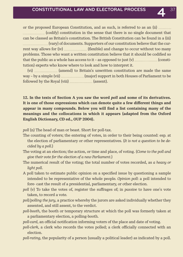or the proposed European Constitution, and as such, is referred to as an (ii)  $\ldots$ ------------------- (codify) constitution in the sense that there is no single document that can be classed as Britain's constitution. The British Constitution can be found in a (iii) ---------------------- (vary) of documents. Supporters of our constitution believe that the current way allows for (iv)  $\ldots$  (flexible) and change to occur without too many problems. Those who want a written constitution believe that it should be codified so that the public as a whole has access to it – as opposed to just  $(v)$   $\ldots$   $\ldots$  (constitution) experts who know where to look and how to interpret it.

(vi)  $\ldots$  (amend) to Britain's unwritten constitution are made the same way – by a simple (vii)  $\ldots$   $\ldots$   $\ldots$   $\ldots$   $\ldots$   $\ldots$   $\ldots$   $\ldots$   $\ldots$   $\ldots$   $\ldots$   $\ldots$   $\ldots$   $\ldots$   $\ldots$   $\ldots$   $\ldots$   $\ldots$   $\ldots$   $\ldots$   $\ldots$   $\ldots$   $\ldots$   $\ldots$   $\ldots$   $\ldots$   $\ldots$   $\ldots$   $\ldots$   $\ldots$   $\ldots$   $\ldots$   $\ldots$  followed by the Royal (viii) ............................. (assent).

**12. In the texts of Section A you saw the word** *poll* **and some of its derivatives. It is one of those expressions which can denote quite a few different things and appear in many compounds. Below you will find a list containing many of the meanings and the collocations in which it appears (adapted from the Oxford English Dictionary, CD ed., OUP 2004).**

*poll* (n) The head of man or beast. Short for poll-tax.

- The counting of voters; the entering of votes, in order to their being counted: esp. at the election of parliamentary or other representatives. (*It is not a question to be decided by a poll.*)
- The voting at an election; the action, or time and place, of voting. (*Come to the poll and give their vote for the election of a new Parliament.*)
- The numerical result of the voting; the total number of votes recorded, as *a heavy or light poll*.
- A poll taken to estimate public opinion on a specified issue by questioning a sample intended to be representative of the whole people. *Opinion poll*: a poll intended to fore- cast the result of a presidential, parliamentary, or other election.
- *poll* (v) To take the votes of, register the suffrages of; in *passive* to have one's vote taken, to record a vote.
- *poll/polling the jury*, a practice whereby the jurors are asked individually whether they assented, and still assent, to the verdict.
- *poll-booth*, the booth or temporary structure at which the poll was formerly taken at a parliamentary election, a polling-booth.

*poll-card*, an official notification informing voters of the place and date of voting.

*poll-clerk*, a clerk who records the votes polled; a clerk officially connected with an election.

*poll-rating*, the popularity of a person (usually a political leader) as indicated by a poll.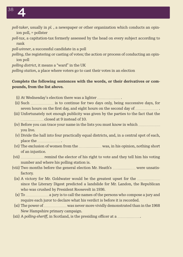# <sup>38</sup> **4**

- *poll-taker*, usually in *pl.* , a newspaper or other organization which conducts an opinion poll, = pollster
- *poll-tax*, a capitation-tax formerly assessed by the head on every subject according to rank

*poll-winner*, a successful candidate in a poll

*polling*, the registering or casting of votes; the action or process of conducting an opinion poll

*polling district*, it means a "ward" in the UK

*polling station*, a place where voters go to cast their votes in an election

# **Complete the following sentences with the words, or their derivatives or compounds, from the list above.**

 $(i)$  At Wednesday's election there was a lighter  $\ldots$  $\ldots$  $\ldots$  $\ldots$  $\ldots$ ....

- (ii) Such  $\ldots$ <sub>1</sub>  $\ldots$ <sub>1</sub> is to continue for two days only, being successive days, for seven hours on the first day, and eight hours on the second day of  $\ldots$
- (iii) Unfortunately not enough publicity was given by the parties to the fact that the -------------------- closed at 9 instead of 10.
- (iv) Before you can trace your name in the lists you must know in which  $\ldots$ you live.
- (v) Divide the hall into four practically equal districts, and, in a central spot of each, place the -------------------- .
- (vi) The exclusion of women from the -------------------- was, in his opinion, nothing short of an injustice.
- (vii)  $\ldots$ <sub>c</sub> remind the elector of his right to vote and they tell him his voting number and where his polling station is.
- (viii) Two months before the general election Mr. Heath's .............................. were unsatisfactory.
	- $(ix)$  A victory for Mr. Goldwater would be the greatest upset for the  $\ldots$ since the Literary Digest predicted a landslide for Mr. Landon, the Republican who was crushed by President Roosevelt in 1936.
	- (x) To  $\ldots$  a jury is to call the names of the persons who compose a jury and require each juror to declare what his verdict is before it is recorded.
	- (xi) The power of  $\ldots$   $\ldots$   $\ldots$  was never more vividly demonstrated than in the 1968 New Hampshire primary campaign.
- (xii) A *polling-sheriff*, in Scotland, is the presiding officer at a  $\ldots$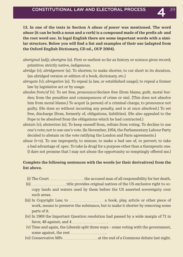**13. In one of the texts in Section A** *abuse of power* **was mentioned. The word**  *abuse* **(it can be both a noun and a verb) is a compound made of the prefix** *ab‑* **and the root word** *use***. In legal English there are some important words with a similar structure. Below you will find a list and examples of their use (adapted from the Oxford English Dictionary, CD ed., OUP 2004).**

- *aboriginal* (adj); *aborigine* (n). First or earliest so far as history or science gives record; primitive; strictly native, indigenous.
- *abridge* (v); *abridgement* (n). To shorten; to make shorter, to cut short in its duration. (an abridged version or edition of a book, dictionary, etc.)
- *abrogate* (v); *abrogation* (n). To repeal (a law, or established usage); to repeal a former law by legislative act or by usage.
- *absolve from/of* (v). To set free, pronounce/declare free (from blame, guilt, moral burden; from the penalties and consequences of crime or sin). (This does not absolve him from moral blame.) To acquit (a person) of a criminal charge, to pronounce not guilty. (He does so without incurring any penalty, and is at once absolved.) To set free, discharge (from, formerly of, obligations, liabilities). (He also appealed to the Pope to be absolved from the obligations which he had contracted.)
- *abstain* (v); *abstention* (n). To keep oneself from, refrain from voting. To decline to use one's vote; not to use one's vote. (In November, 1954, the Parliamentary Labour Party decided to abstain on the vote ratifying the London and Paris agreements.)
- *abuse* (v+n). To use improperly, to misuse; to make a bad use of, to pervert; to take a bad advantage of. spec. To take (a drug) for a purpose other than a therapeutic one. (I dare not promise that I may not abuse the opportunity so temptingly offered me.)

# **Complete the following sentences with the words (or their derivatives) from the list above.**

- (i) The Court ------------------------------ the accused man of all responsibility for her death.
- (ii) ------------------------------ title provides original natives of the US exclusive right to occupy lands and waters used by them before the US asserted sovereignty over such areas.
- (iii) In Copyright Law, to  $\ldots$   $\ldots$   $\ldots$  a book, play, article or other piece of work, means to preserve the substance, but to make it shorter by removing some parts of it.
- (iv) In 1969 the Important Question resolution had passed by a wide margin of 71 in favor, 48 against, and 4 ------------------------------ .
- (v) Time and again, the Liberals split three ways some voting with the government, some against, the rest ------------------------------ .
- (vi) Conservative MPs ------------------------------ at the end of a Commons debate last night.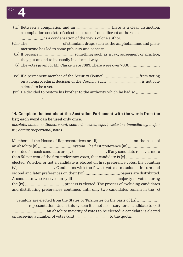

- (vii) Between a compilation and an  $\ldots$  there is a clear distinction: a compilation consists of selected extracts from different authors; an  $\ldots$  $\ldots$  $\ldots$ -------------------- is a condensation of the views of one author.
- (viii) The ------------------------------ of stimulant drugs such as the amphetamines and phenmetrazine has led to some publicity and concern.
- (ix) If persons ------------------------------ something such as a law, agreement or practice, they put an end to it, usually in a formal way.
- $(x)$  The votes given for Mr. Clarke were 7683. There were over 7000  $\ldots$  $\ldots$  $\ldots$  $\ldots$
- (xi) If a permanent member of the Security Council ------------------------------ from voting on a nonprocedural decision of the Council, such  $\ldots$  $\ldots$  $\ldots$  $\ldots$  $\ldots$  $\ldots$  is not considered to be a veto.
- (xii) He decided to restore his brother to the authority which he had so --------------------- -------------------.

# **14. Complete the text about the Australian Parliament with the words from the list; each word can be used only once.**

*absolute; ballot; continues; count; counted; elected; equal; exclusion; immediately; majority; obtain; proportional; votes*

Members of the House of Representatives are (i) ------------------------------ on the basis of an absolute (ii) ------------------------------ system. The first preference (iii) --------------------------- recorded for each candidate are (iv) ---------------------------- . If any candidate receives more than 50 per cent of the first preference votes, that candidate is (v)  $\ldots$ elected. Whether or not a candidate is elected on first preference votes, the counting (vi)  $\ldots$   $\ldots$   $\ldots$   $\ldots$   $\ldots$   $\ldots$   $\ldots$   $\ldots$   $\ldots$   $\ldots$   $\ldots$   $\ldots$   $\ldots$   $\ldots$   $\ldots$   $\ldots$   $\ldots$   $\ldots$   $\ldots$   $\ldots$   $\ldots$   $\ldots$   $\ldots$   $\ldots$   $\ldots$   $\ldots$   $\ldots$   $\ldots$   $\ldots$   $\ldots$   $\ldots$   $\ldots$   $\ldots$   $\ldots$   $\ldots$   $\ldots$  second and later preferences on their (vii) ------------------------------ papers are distributed. A candidate who receives an (viii)  $\ldots$   $\ldots$   $\ldots$   $\ldots$   $\ldots$  majority of votes during the (ix) ---------------------------------- process is elected. The process of excluding candidates and distributing preferences continues until only two candidates remain in the  $(x)$ ---------------------------------- .

Senators are elected from the States or Territories on the basis of (xi) ........................... -------------- representation. Under this system it is not necessary for a candidate to (xii) ------------------------------ an absolute majority of votes to be elected: a candidate is elected on receiving a number of votes (xiii) ------------------------------ to the quota.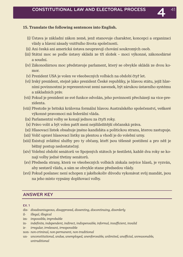- (i) Ústava je základní zákon země, jenž stanovuje charakter, koncepci a organizaci vlády a hlavní zásady vnitřního života společnosti.
- (ii) Ani česká ani americká ústava neupravují chování soukromých osob.
- (iii) Státní moc se podle ústavy skládá ze tří složek moci výkonné, zákonodárné a soudní.
- (iv) Zákonodárnou moc představuje parlament, který se obvykle skládá ze dvou komor.
- (v) Prezident USA je volen ve všeobecných volbách na období čtyř let.
- (vi) Irský prezident, stejně jako prezident České republiky, je hlavou státu, jejíž hlavními povinnostmi je reprezentovat zemi navenek, být zárukou ústavního systému a základních práv.
- (vii) Pokud je prezident ze své funkce odvolán, jeho povinnosti přecházejí na vice-prezidenta.
- (viii) Přestože je britská královna formální hlavou Australského společenství, veškeré výkonné pravomoci má federální vláda.
- (ix) Parlamentní volby se konají jednou za čtyři roky.
- (x) Právo volit a být volen patří mezi nejdůležitější občanská práva.
- (xi) Hlasovací lístek obsahuje jméno kandidáta a politickou stranu, kterou zastupuje.
- (xii) Volič upraví hlasovací lístky za plentou a vhodí je do volební urny.
- (xiii) Existují zvláštní služby pro ty občany, kteří jsou tělesně postižení a pro něž je běžný postup nedostatečný.
- (xiv) Volební období senátorů ve Spojených státech je šestileté, každé dva roky se konají volby jedné třetiny senátorů.
- (xv) Předseda strany, která ve všeobecných volbách získala nejvíce hlasů, je vyzván, aby sestavil vládu, a sám se obvykle stane předsedou vlády.
- (xvi) Pokud poslanec není schopen z jakéhokoliv důvodu vykonávat svůj mandát, jsou na jeho místo vypsány doplňovací volby.

# **ANSWER KEY**

#### **EX. 1**

- dis- *disadvantageous, disapproved, dissenting, discontinuing, disorderly*
- il- *illegal, illogical*
- im- *impossible, improbable*
- in- *indefinite, independent, indirect, indispensable, informal, insufficient, invalid*
- ir- *irregular, irrelevant, irresponsible*
- non- *non-criminal, non-permanent, non-traditional*
- un- *unconstitutional, undue, unemployed, unenforceable, unlimited, unofficial, unreasonable, untraditional*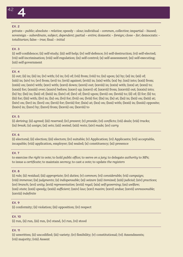

#### **EX. 2**

private – *public*; absolute – *relative*; speedy – *slow*; individual – *common*, *collective*; impartial – *biased*; sovereign – *subordinate*, *subject*, *dependent*; partial – *entire*; domestic – *foreign*; close – *far*; democratic – *totalitarian*; false – *true*; final – *initial*

#### **EX. 3**

(i) self-confidence; (ii) self-study; (iii) self-help; (iv) self-defence; (v) self-destruction; (vi) self-elected; (vii) self-incrimination; (viii) self-regulation; (ix) self-control; (x) self-assessment; (xi) self-executing; (xii) self-government

#### **EX. 4**

(i) out; (ii) in; (iii) in; (iv) with; (v) in; (vi) of; (vii) from; (viii) to; (ix) upon; (x) by; (xi) in; (xii) of; (xiii) in; (xiv) to; (xv) from; (xvi) to; (xvii) against; (xviii) in; (xix) with; (xx) by; (xxi) into; (xxii) from; (xxiii) on; (xxiv) with; (xxv) with; (xxvi) down; (xxvii) out; (xxviii) in; (xxix) with; (xxx) at; (xxxi) to; (xxxii) for; (xxxiii) over; (xxxiv) before; (xxxv) up; (xxxvi) of; (xxxvii) from; (xxxviii) out; (xxxix) into; (lx) by; (lxi) in; (lxii) of; (lxiii) in; (lxiv) of; (lxv) of; (lxvi) upon; (lxvii) on; (lxviii) to; (il) of; (l) for; (li) to; (lii) for; (liii) with; (liv) in; (lx) on; (lvi) for; (lvii) on; (lviii) for; (lix) in; (lx) at; (lxi) in; (lxii) on; (lxiii) at; (lxiv) on; (lxv) in; (lxvi) on; (lxvii) for; (lxviii) for; (lxix) at; (lxx) on; (lxxi) with; (lxxii) in; (lxxiii) opposite; (lxxiv) in; (lxxv) by; (lxxvi) from; (lxxvii) on; (lxxviii) to

#### **EX. 5**

(i) *deriving*; (ii) *agreed*; (iii) *reserved*; (iv) *prevent*; (v) *provide*; (vi) *conflicts*; (vii) *deals*; (viii) *tracks*; (ix) *break*; (x) *assign*; (xi) *sets*; (xii) *vested*; (xiii) *rests*; (xiv) *made*; (xv) *carry*

#### **EX. 6**

(i) electoral; (ii) election; (iii) electors; (iv) suitable; (v) Application; (vi) Applicants; (vii) acceptable, incapable; (viii) application, employer; (ix) sealed; (x) constituency; (xi) presence

#### **EX. 7**

to exercise *the right to vote*; to hold *public office*; to serve *on a jury*; to delegate *authority* to *MPs*; to issue a *certificate*; to maintain *secrecy*; to cast *a vote*; to update *the registers*

#### **EX. 8**

(i) *rule*; (ii) *residual*; (iii) *appropriate*; (iv) *duties*; (v) *common*; (vi) *considerable*; (vii) *campaign*; (viii) *immense*; (ix) *judgments*; (x) *indispensable*; (xi) *seizure* (xii) *itemized*; (xiii) *judicial*; (xiv) *practices*; (xv) *branch*; (xvi) *unity*; (xvii) *representative*; (xviii) *royal*; (xix) *self-governing*; (xx) *welfare*; (xxi) *state*; (xxii) *speedy*; (xxiii) *sufficient*; (xxiv) *law*; (xxv) *maxim*; (xxvi) *undue*; (xxvii) *unreasonable*; (xxviii) *indefinite*

#### **EX. 9**

(i) conformity; (ii) violation; (iii) opposition; (iv) respect

#### **EX. 10**

(i) run, (ii) run, (iii) run, (iv) stand, (v) run, (vi) stood

#### **EX. 11**

(i) unwritten; (ii) uncodified; (iii) variety; (iv) flexibility; (v) constitutional; (vi) Amendments; (vii) majority; (viii) Assent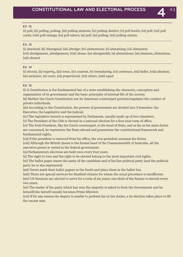

#### **EX. 12**

(i) poll; (ii) polling, polling; (iii) polling stations; (iv) polling district; (v) poll-booth; (vi) poll; (vii) poll cards; (viii) poll-ratings; (ix) poll takers; (x) poll; (xi) polling; (xii) polling station

#### **EX. 13**

(i) absolved; (ii) Aboriginal; (iii) abridge; (iv) abstentions; (v) abstaining; (vi) abstained; (vii) abridgement, abridgement; (viii) abuse; (ix) abrogate(d); (x) abstentions; (xi) abstains, abstention; (xii) abused

#### **EX. 14**

(i) *elected*, (ii) *majority*, (iii) *votes*, (iv) *counted*, (v) *immediately*, (vi) *continues*, (vii) *ballot*, (viii) *absolute*, (ix) *exclusion*, (x) *count*, (xi) *proportional,* (xii) *obtain*, (xiii) *equal*

#### **EX. 15**

(i) A Constitution is the fundamental law of a state establishing the character, conception and organization of its government and the basic principles of internal life of the society.

(ii) Neither the Czech Constitution nor its American counterpart governs/regulates the conduct of private individuals.

(iii) According to the Constitution, the powers of government are divided into 3 branches: the Executive, the Legislative and the Judicial.

(iv) The legislative branch is represented by Parliament, usually made up of two chambers.

(v) The President of the USA is elected in a national election for a four-year term of office.

(vi) The Irish President, like his Czech counterpart, is the head of State, and as far as his main duties are concerned, he represents the State abroad and guarantees the constitutional framework and fundamental rights.

(vii) If the president is removed from his office, the vice-president assumes his duties.

(viii) Although the British Queen is the formal head of the Commonwealth of Australia, all the executive power is vested in the federal government.

(ix) Parliamentary elections are held once every four years.

(x) The right to vote and the right to be elected belong to the most important civil rights.

(xi) The ballot paper states the name of the candidate and of his/her political party (and the political party he or she represents).

(xii) Voters mark their ballot papers in the booth and place them in the ballot box.

(xiii) There are special services for disabled citizens for whom the usual procedure is insufficient.

(xiv) US Senators are elected to serve for a term of six years; one-third of the Senate is elected every two years.

(xv) The leader of the party which has won the majority is asked to form the Government and he himself/she herself usually becomes Prime Minister.

(xvi) If for any reason the deputy is unable to perform his or her duties, a by-election takes place to fill the vacant seat.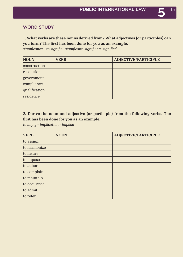# **WORD STUDY**

# **1. What verbs are these nouns derived from? What adjectives (or participles) can you form? The first has been done for you as an example.**

*significance – to signify – significant, signifying, signified*

| <b>NOUN</b>   | <b>VERB</b> | <b>ADJECTIVE/PARTICIPLE</b> |
|---------------|-------------|-----------------------------|
| construction  |             |                             |
| resolution    |             |                             |
| government    |             |                             |
| compliance    |             |                             |
| qualification |             |                             |
| residence     |             |                             |

# **2. Derive the noun and adjective (or participle) from the following verbs. The first has been done for you as an example.**

*to imply – implication – implied*

| <b>VERB</b>  | <b>NOUN</b> | <b>ADJECTIVE/PARTICIPLE</b> |
|--------------|-------------|-----------------------------|
| to assign    |             |                             |
| to harmonize |             |                             |
| to insure    |             |                             |
| to impose    |             |                             |
| to adhere    |             |                             |
| to complain  |             |                             |
| to maintain  |             |                             |
| to acquiesce |             |                             |
| to admit     |             |                             |
| to refer     |             |                             |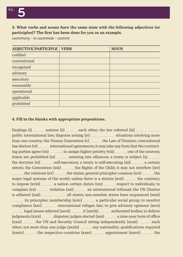

# **3. What verbs and nouns have the same stem with the following adjectives (or participles)? The first has been done for you as an example.**

*customary – to customize – custom*

| <b>ADJECTIVE/PARTICIPLE</b> | <b>VERB</b> | <b>NOUN</b> |
|-----------------------------|-------------|-------------|
| codified                    |             |             |
| conventional                |             |             |
| recognized                  |             |             |
| advisory                    |             |             |
| executory                   |             |             |
| reasonable                  |             |             |
| operational                 |             |             |
| applicable                  |             |             |
| prohibited                  |             |             |

## **4. Fill in the blanks with appropriate prepositions.**

Dealings (i)  $\ldots$  nations (ii)  $\ldots$  each other; the law referred (iii)  $\ldots$   $\ldots$   $\ldots$ public international law; disputes arising (iv)  $\ldots$  $\ldots$  $\ldots$  $\ldots$  situations involving more than one country; the Vienna Convention  $(v)$  ............. the Law of Treaties; conventional law derives (vi)  $\ldots$  international agreements; it may take any form that the contracting parties agree (vii)  $\ldots$  $\ldots$ ; to assign higher priority (viii)  $\ldots$  $\ldots$  one of the sources; states are prohibited  $(ix)$   $\ldots$  entering into alliances; a treaty is subject  $(x)$   $\ldots$  $\ldots$ the doctrine (xi)  $\ldots$ , self-execution; a treaty is self-executing (xii)  $\ldots$ , a certain extent; the Convention (xiii) .............. the Rights of the Child; it may not interfere (xiv) ............. the relations (xv) ............. the states; general principles common (xvi) ............. the major legal systems of the world; unless there is a statute (xvii) ............. the contrary; to impose (xviii) ............. a nation certain duties (xix) ............. respect to individuals; to complain (xx) .............. violation (xxi) ............... an international tribunal; the UN Charter is adhered (xxii) ---------- ---------- all states; non-member states have acquiesced (xxiii) .............. its principles; membership (xxiv) .............. a particular social group; to monitor compliance (xxv)  $\ldots$ , international refugee law; to give advisory opinions (xxvi) ---------- legal issues referred (xxvii) ---------- it (xxviii) ---------- authorized bodies; to deliver judgments (xxix)  $\ldots$  $\ldots$  $\ldots$  disputes; judges elected (xxx)  $\ldots$  $\ldots$  $\ldots$  a nine-year term of office (xxxi)  $\ldots$ , the UN and Security Council sitting independently (xxxii)  $\ldots$ , each other; not more than one judge (xxxiii) ............. any nationality; qualifications required (xxxiv) ............. the respective countries (xxxv) ............. appointment (xxxvi) ............. the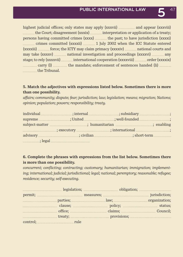highest judicial offices; only states may apply (xxxvii)  $\ldots$  and appear (xxxviii) .............. the Court; disagreement (xxxix) ................ interpretation or application of a treaty; persons having committed crimes (xxxx) ............. the past; to have jurisdiction (xxxxi) ---------- crimes committed (xxxxii) ---------- 1 July 2002 when the ICC Statute entered (xxxxiii)  $\ldots$ <sub>1</sub> force; the ICTY may claim primacy (xxxxiv)  $\ldots$ <sub>1</sub> national courts and may take (xxxxv)  $\ldots$ , national investigation and proceedings (xxxxvi)  $\ldots$ , any stage; to rely (xxxxvii)  $\ldots$ , international cooperation (xxxxviii)  $\ldots$ , order (xxxxix) carry (l)  $\ldots$  the mandate; enforcement of sentences handed (li)  $\ldots$ ------------ the Tribunal.

# **5. Match the adjectives with expressions listed below. Sometimes there is more than one possibility.**

*affairs; community; dispute; fear; jurisdiction; law; legislation; means; migration; Nations; opinion; population; powers; responsibility; treaty.*

# **6. Complete the phrases with expressions from the list below. Sometimes there is more than one possibility.**

*concurrent; conflicting; contracting; customary; humanitarian; immigration; implementing; international; judicial; jurisdictional; legal; national; peremptory; reasonable; refugee; residence; security; self-executing.*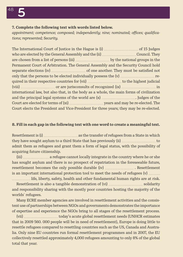## **7. Complete the following text with words listed below.**

*appointment; competence; composed; independently; nine; nominated; offices; qualifications; represented; Security.*

| Permanent Court of Arbitration. The General Assembly and the Security Council hold       |  |
|------------------------------------------------------------------------------------------|--|
|                                                                                          |  |
|                                                                                          |  |
|                                                                                          |  |
|                                                                                          |  |
| international law, but also that, in the body as a whole, the main forms of civilization |  |
|                                                                                          |  |
|                                                                                          |  |
| Court elects the President and Vice-President for three years; they may be re-elected.   |  |

## **8. Fill in each gap in the following text with one word to create a meaningful text.**

Resettlement is (i) ------------------------------ as the transfer of refugees from a State in which they have sought asylum to a third State that has previously (ii)  $\ldots$  $\ldots$  $\ldots$  $\ldots$  $\ldots$ admit them as refugees and grant them a form of legal status, with the possibility of acquiring future citizenship.

(iii)  $\ldots$ <sub>i</sub> a refugee cannot locally integrate in the country where he or she has sought asylum and there is no prospect of repatriation in the foreseeable future, resettlement becomes the only possible durable (iv) ------------------------- . Resettlement is an important international protection tool to meet the needs of refugees (v) ............

.....................life, liberty, safety, health and other fundamental human rights are at risk. Resettlement is also a tangible demonstration of (vi) ------------------------------ solidarity and responsibility sharing with the mostly poor countries hosting the majority of the worlds´ refugees.

Many ECRE member agencies are involved in resettlement activities and the consistent use of partnerships between NGOs and governments demonstrates the importance of expertise and experience the NGOs bring to all stages of the resettlement process.

(vii) ------------------------------ today's acute global resettlement needs (UNHCR estimates that in 2009 560. 000 people will be in need of resettlement), Europe is doing little to resettle refugees compared to resettling countries such as the US, Canada and Australia. Only nine EU countries run formal resettlement programmes and in 2007, the EU collectively resettled approximately 4,000 refugees amounting to only 8% of the global total that year.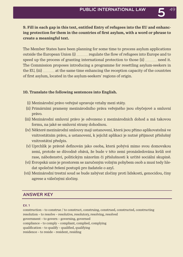# **9. Fill in each gap in this text, entitled Entry of refugees into the EU and enhancing protection for them in the countries of first asylum, with a word or phrase to create a meaningful text.**

The Member States have been planning for some time to process asylum applications outside the European Union (i)  $\ldots$  regulate the flow of refugees into Europe and to speed up the process of granting international protection to those (ii) ............. need it. The Commission proposes introducing a programme for resettling asylum-seekers in the EU, (iii)  $\ldots$  at the same time enhancing the reception capacity of the countries of first asylum, located in the asylum-seekers´ regions of origin.

## **10. Translate the following sentences into English.**

- (i) Mezinárodní právo veřejné upravuje vztahy mezi státy.
- (ii) Primárními prameny mezinárodního práva veřejného jsou obyčejové a smluvní právo.
- (iii) Mezinárodní smluvní právo je odvozeno z mezinárodních dohod a má takovou formu, na jaké se smluvní strany dohodnou.
- (iv) Některé mezinárodní smlouvy mají ustanovení, která jsou přímo aplikovatelná ve vnitrostátním právu, a ustanovení, k jejichž aplikaci je nutné přijmout příslušný vnitrostátní předpis.
- (v) Uprchlík je právně definován jako osoba, která pobývá mimo svou domovskou zemi, protože se důvodně obává, že bude v této zemi pronásledována kvůli své rase, náboženství, politickým názorům či příslušnosti k určité sociální skupině.
- (vi) Evropská unie je prostorem se zaručeným volným pohybem osob a musí tedy hledat společné řešení postupů pro žadatele o azyl.
- (vii) Mezinárodní trestní soud se bude zabývat zločiny proti lidskosti, genocidou, činy agrese a válečnými zločiny.

# **ANSWER KEY**

#### **EX. 1**

construction – to construe / to construct, construing, construed, constructed, constructing resolution – to resolve – resolutive, resolutory, resolving, resolved government – to govern – governing, governed compliance – to comply – compliant, complied, complying qualification – to qualify – qualified, qualifying residence – to reside – resident, residing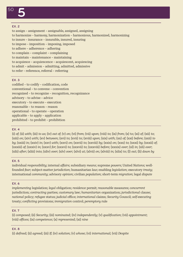

#### **EX. 2**

to assign – assignment – assignable, assigned, assigning to harmonize – harmony, harmonization – harmonious, harmonized, harmonizing to insure – insurance – insurable, insured, insuring to impose – imposition – imposing, imposed to adhere – adherence – adhering to complain – complaint – complaining to maintain – maintenance – maintaining to acquiesce – acquiescence – acquiescent, acquiescing to admit – admission – admitting, admitted, admissive to refer – reference, referral – referring

#### **EX. 3**

codified – to codify – codification, code conventional – to convene – convention recognized – to recognize – recognition, recognizance advisory – to advise – advice executory – to execute – execution reasonable – to reason – reason operational – to operate – operation applicable – to apply – application prohibited – to prohibit – prohibition

#### **EX. 4**

(i) *of*; (ii) *with*; (iii) *to as*; (iv) *out of*; (v) *on*; (vi) *from*; (vii) *upon*; (viii) *to*; (ix) *from*; (x) to; (xi) *of*; (xii) *to*; (xiii) *on*; (xiv) *with*; (xv) *between*; (xvi) *to*; (xvii) *to*; (xviii) *upon*; (xix) *with*; (xx) *of*; (xxi) *before*; (xxii) *to by*; (xxiii) *in*; (xxiv) *in*; (xxv) *with*; (xxvi) *on*; (xxvii) *to*; (xxviii) *by*; (xxix) *on*; (xxx) *to*; (xxxi) *by*; (xxxii) *of*; (xxxiii) *of*; (xxxiv) *in*; (xxxv) *for*; (xxxvi) *to*; (xxxvii) *to*; (xxxviii) *before*; (xxxix) *over*; (xl) *in*; (xli) *over*; (xlii) *after*; (xliii) *into*; (xliv) *over*; (xlv) *over*; (xlvi) *at*; (xlvii) *on*; (xlviii) *in*; (xlix) *to*; (l) *out*; (li) *down by*

#### **EX. 5**

individual *responsibility*; internal *affairs*; subsidiary *means*; supreme *powers*; United *Nations*; wellfounded *fear*; subject-matter *jurisdiction*; humanitarian *law*; enabling *legislation*; executory *treaty*; international *community*; advisory *opinion*; civilian *population*; short-term *migration*; legal *dispute*

#### **EX. 6**

*implementing* legislation; *legal* obligation; *residence* permit; *reasonable* measures; *concurrent* jurisdiction; *contracting* parties; *customary* law; *humanitarian* organization; *jurisdictional* clause; *national* policy; *refugee* status; *judicial* office; *international* claims; *Security* Council; *self-executing* treaty; *conflicting* provisions; *immigration* control; *peremptory* rule

#### **EX. 7**

(i) *composed*; (ii) *Security*; (iii) *nominated*; (iv) *independently*; (v) *qualification*; (vii) *appointment*; (viii) *offices*; (ix) *competence*; (x) *represented*; (xi) *nine*

#### **EX. 8**

(i) *defined*; (ii) *agreed*; (iii) *If*; (iv) *solution*; (v) *whose*; (vi) *international*; (vii) *Despite*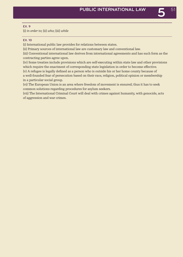#### **EX. 9**

(i) *in order to*; (ii) *who*; (iii) *while*

#### **EX. 10**

(i) International public law provides for relations between states.

(ii) Primary sources of international law are customary law and conventional law.

(iii) Conventional international law derives from international agreements and has such form as the contracting parties agree upon.

(iv) Some treaties include provisions which are self-executing within state law and other provisions which require the enactment of corresponding state legislation in order to become effective.

(v) A refugee is legally defined as a person who is outside his or her home county because of a well-founded fear of persecution based on their race, religion, political opinion or membership in a particular social group.

(vi) The European Union is an area where freedom of movement is ensured; thus it has to seek common solutions regarding procedures for asylum seekers.

(vii) The International Criminal Court will deal with crimes against humanity, with genocide, acts of aggression and war crimes.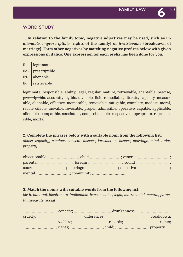# **WORD STUDY**

**1. In relation to the family topic, negative adjectives may be used, such as** *in‑ alienable, imprescriptible* **(rights of the family) or** *irretrievable* **(breakdown of marriage). Form other negatives by matching negative prefixes below with given expressions in italics. One expression for each prefix has been done for you.**

| $IL-$ | legitimate    |
|-------|---------------|
| $IM-$ | prescriptible |
| $IN-$ | alienable     |
| IR    | retrievable   |

legitimate, responsible, ability, legal, regular, mature, retrievable, adaptable, precise, prescriptible, accurate, legible, divisible, licit, remediable, literate, capacity, measurable, alienable, effective, memorable, removable, mitigable, complete, modest, moral, recon- cilable, movable, revocable, proper, admissible, operative, capable, applicable, alienable, compatible, consistent, comprehensible, respective, appropriate, reprehensible, mortal

## **2. Complete the phrases below with a suitable noun from the following list.**

*abuse, capacity, conduct, consent, disease, jurisdiction, license, marriage, mind, order, property*

## **3. Match the nouns with suitable words from the following list.**

*birth, habitual, illegitimate, inalienable, irreconcilable, legal, matrimonial, mental, parental, separate, social*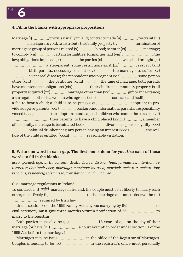## **4. Fill in the blanks with appropriate prepositions.**

Marriage (i)  $\ldots$  $\ldots$  $\ldots$  $\ldots$  proxy is usually invalid; contracts made (ii)  $\ldots$  $\ldots$  $\ldots$  restraint (iii) .................. marriage are void; to distribute the family property (iv) ................. termination of marriage; a group of persons related  $(v)$   $\dots$  $\dots$  $\dots$  $\dots$  $\dots$ blood; to enter  $(vi)$  $\dots$  $\dots$  $\dots$  $\dots$  $\dots$  $\dots$  $\dots$ to comply (vii)  $\ldots$  $\ldots$  $\ldots$  $\ldots$  certain formalities; formalities laid (viii)  $\ldots$  $\ldots$  $\ldots$  $\ldots$  $\ldots$ law; obligations imposed (ix) ..................... the parties (x) ...................law; a child brought (xi) -------------- -------------- a step-parent; some restrictions exist (xii) -------------- respect (xiii) .................. birth parents; necessary consent (xiv) .................. the marriage; to suffer (xv) ................... a venereal disease; the respondent was pregnant (xvi) ................... some person other (xvii) -------------- the petitioner (xviii) -------------- the time of marriage; both parents have maintenance obligations (xix) .................... their children; community property is all property acquired (xx)  $\ldots$  marriage other than (xxi)  $\ldots$  gift or inheritance; a surrogate mother is a woman who agrees, (xxii)  $\ldots$  $\ldots$  $\ldots$  contract and (xxiii)  $\ldots$  $\ldots$  $\ldots$ a fee to bear a child; a child is to be put (xxiv) -------------- -------------- adoption; to provide adoptive parents (xxv) ................. background information; parental responsibility vested (xxvi) ....................the adopters; handicapped children who cannot be cared (xxvii) ---------------- ---------------- their parents; to have a child placed (xxviii) -------------- a member of his family; marriage is terminated (xxix) ...................... divorce; a spouse is guilty (xxx) .....................habitual drunkenness; any person having an interest (xxxi) ................... the welfare of the child is entitled (xxxii) ................. reasonable visitation.

# **5. Write one word in each gap. The first one is done for you. Use each of these words to fill in the blanks.**

*accompanied; age; birth; consent; death; decree; district; final; formalities; intention; interpreter; obtained; over; marriage; marriage; married; married; registrar; registration; religious; residency; solemnised; translation; valid; widowed*

Civil marriage regulations in Ireland

To contract a (i) *valid* marriage in Ireland, the couple must be at liberty to marry each other, must freely (ii) -------------------------------- to the marriage and must observe the (iii) ------------------------ required by Irish law.

Under section 32 of the 1995 Family Act, anyone marrying by (iv) ------------------------ or civil ceremony must give three months̓ written notification of (v) ------------------------ to marry to the registrar.

Both parties must also be (vi) ................................. 18 years of age on the day of their marriage (or have (vii) ------------------------ a court exemption order under section 31 of the 1995 Act before the marriage. )

Marriages may be (viii) ................................. in the office of the Registrar of Marriages. Couples intending to be (ix) ------------------------ in the registrar's office must personally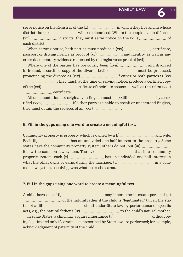serve notice on the Registrar of the (x) ------------------------ in which they live and in whose district the (xi)  $\ldots$   $\ldots$   $\ldots$  will be solemnised. Where the couple live in different (xii) ------------------------ districts, they must serve notice on the (xiii) ------------------------ of each district.

When serving notice, both parties must produce a (xiv) ------------------------ certificate, passport or driving licence as proof of (xv)  $\ldots$   $\ldots$  and identity, as well as any other documentary evidence requested by the registrar as proof of (xvi)  $\ldots$  $\ldots$  $\ldots$ 

Where one of the parties has previously been (xvii)  $\ldots$  $\ldots$  $\ldots$  $\ldots$  $\ldots$  $\ldots$  and divorced in Ireland, a certified copy of the divorce (xviii) ------------------------ must be produced, pronouncing the divorce as  $(xix)$   $\ldots$   $\ldots$  If either or both parties is  $(xx)$ ------------------------------, they must, at the time of serving notice, produce a certified copy of the (xxi) ---------------------------- certificate of their late spouse, as well as their first (xxii) -------------------------- certificate.

All documentation not originally in English must be (xxiii) ------------------------ by a certified (xxiv) ------------------------. If either party is unable to speak or understand English, they must obtain the services of an  $(xxy)$   $\ldots$  $\ldots$  $\ldots$ 

## **6. Fill in the gaps using one word to create a meaningful text.**

Community property is property which is owned by a (i) ------------------------------ and wife. Each (ii)  $\ldots$ <sub>n</sub> is an undivided one-half interest in the property. Some states have the community property system; others do not, but (iii)  $\ldots$ follow the common law system. The (iv)  $\ldots$  $\ldots$  $\ldots$  $\ldots$  $\ldots$  $\ldots$  $\ldots$  is that in a community property system, each (v) ------------------------------ has an undivided one-half interest in what the other owns or earns during the marriage, (vi)  $\ldots$  $\ldots$  $\ldots$  $\ldots$  $\ldots$  $\ldots$  $\ldots$  in a common law system, each(vii) owns what he or she earns.

## **7. Fill in the gaps using one word to create a meaningful text.**

A child born out of (i) ------------------------------------ may inherit the intestate personal (ii) ---------------------------------- of the natural father if the child is "legitimated" (given the status of a (iii) ---------------------------------- child) under State law by performance of specific acts, e.g., the natural father's (iv) ---------------------------------- to the child's natural mother. In some States, a child may acquire inheritance (v) -------------------------------- without being legitimated only if certain acts prescribed by State law are performed; for example, acknowledgment of paternity of the child.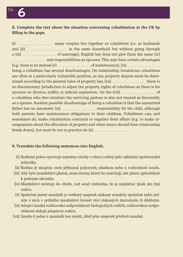

# **8. Complete the text about the situation concerning cohabitation in the UK by filling in the gaps.**

(i) -------------------------------- many couples live together as cohabitees (i.e. as husbands and (ii) ------------------------------------ in the same household but without going through a (iii)  $\ldots$ <sub>1</sub>  $\ldots$ <sub>1</sub>  $\ldots$ <sub>1</sub>  $\ldots$ <sub>1</sub>  $\ldots$ <sub>1</sub>  $\ldots$ <sub>1</sub>  $\ldots$ <sub>1</sub>  $\ldots$ <sub>1</sub>  $\ldots$ <sub>1</sub>  $\ldots$ <sub>1</sub>  $\ldots$ <sub>1</sub>  $\ldots$ <sub>1</sub>  $\ldots$ <sub>1</sub>  $\ldots$ <sub>1</sub>  $\ldots$ <sub>1</sub>  $\ldots$ <sub>1</sub>  $\ldots$ <sub>1</sub>  $\ldots$ <sub>1</sub>  $\ldots$ <sub>1</sub>  $\ldots$ <sub>1</sub>  $\ldots$ <sub>1</sub>  $\ldots$ <sub>1</sub>  $\ldots$ <sub>1</sub>  $\ldots$ <sub>1</sub> ------------------------------ and responsibilities as spouses. This may have certain advantages  $(e.g. there is no mutual (v) <sub>+\cdots+\cdots+\cdots+\cdots</sub>$  of maintenance),  $(vi) <sub>+\cdots+\cdots+\cdots+\cdots+\cdots</sub>$ being a cohabitee has several disadvantages. On relationship breakdown cohabitees are often in a particularly vulnerable position, as any property dispute must be determined according to the general rules of property law, (vii)  $\ldots$  $\ldots$  $\ldots$  $\ldots$  $\ldots$  $\ldots$  $\ldots$ .... no discretionary jurisdiction to adjust the property rights of cohabitees as there is for spouses on divorce, nullity or judicial separation. On the (viii)  $\ldots$  $\ldots$  $\ldots$  $\ldots$  $\ldots$  $\ldots$ a cohabitee who dies intestate the surviving partner is also not treated as favourably as a spouse. Another possible disadvantage of being a cohabitee is that the unmarried father has no automatic (ix) ------------------------------ responsibility for his child, although both parents have maintenance obligations to their children. Cohabitees can, and sometimes do, make cohabitation contracts to regulate their affairs (e.g. to make arrangements about the allocation of property and other issues should their relationship  $b$ reak down), but most do not in practice do  $(x)$   $\ldots$   $\ldots$   $\ldots$   $\ldots$ 

## **9. Translate the following sentences into English.**

- (i) Rodinné právo upravuje zejména vztahy v rámci rodiny jako základní společenské jednotky.
- (ii) Rodina je skupina osob příbuzná pokrevně, sňatkem nebo z rozhodnutí soudu.
- (iii) Aby bylo manželství platné, musí strany, které ho uzavírají, mít plnou způsobilost k právním úkonům.
- (iv) Manželství existuje do chvíle, než soud rozhodne, že je neplatné; jinak jen trpí vadou.
- (v) Společné jmění manželů je veškerý majetek získaný manžely společně nebo jedním z nich v průběhu manželství kromě věcí získaných darováním či děděním.
- (vi) Adopcí zaniká rodičovská zodpovědnost biologických rodičů; rodičovskou zodpovědnost získají adoptivní rodiče.
- (vii) Zemře-li jeden z manželů bez závěti, dědí jeho majetek přeživší manžel.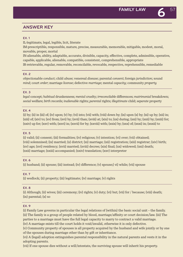# **ANSWER KEY**

#### **EX. 1**

IL-legitimate, legal, legible, licit, literate

IM-prescriptible, responsible, mature, precise, measurable, memorable, mitigable, modest, moral, movable, proper, mortal

IN-alienable, ability, adaptable, accurate, divisible, capacity, effective, complete, admissible, operative, capable, applicable, alienable, compatible, consistent, comprehensible, appropriate IR-retrievable, regular, removable, reconcilable, revocable, respective, reprehensible, remediable

#### **EX. 2**

objectionable *conduct*; child *abuse*; venereal *disease*; parental *consent*; foreign *jurisdiction*; sound *mind*; court *order*; marriage *license*; defective *marriage*; mental *capacity*; community *property*

#### **EX. 3**

*legal* concept; *habitual* drunkenness; *mental* cruelty; *irreconcilable* differences; *matrimonial* breakdown; *social* welfare; *birth* records; *inalienable* rights; *parental* rights; *illegitimate* child; *separate* property

#### **EX. 4**

(i) by; (ii) in (iii) of; (iv) upon; (v) by; (vi) into; (vii) with; (viii) down by; (ix) upon (x) by; (xi) up by; (xii) in; (xiii) of; (xiv) to; (xv) from; (xvi) by; (xvii) than; (xviii) at; (xix) to; (xx) during; (xxi) by; (xxii) by; (xxiii) for; (xxiv) up for; (xxv) with; (xxvi) in; (xxvii) for by; (xxviii) with; (xxix) by; (xxx) of; (xxxi) in; (xxxii) to

#### **EX. 5**

(i) valid; (ii) consent; (iii) formalities; (iv) religious; (v) intention; (vi) over; (vii) obtained; (viii) solemnised; (ix) married; (x) district; (xi) marriage; (xii) registration; (xiii) registrar; (xiv) birth; (xv) age; (xvi) residency; (xvii) married; (xviii) decree; (xix) final; (xx) widowed; (xxi) death; (xxii) marriage; (xxiii) accompanied; (xxiv) translation; (xxv) interpreter

#### **EX. 6**

(i) husband; (ii) spouse; (iii) instead; (iv) difference; (v) spouse;( vi) while; (vii) spouse

#### **EX. 7**

(i) wedlock; (ii) property; (iii) legitimate; (iv) marriage; (v) rights

#### **EX. 8**

(i) Although; (ii) wives; (iii) ceremony; (iv) rights; (v) duty; (vi) but; (vii) for / because; (viii) death; (ix) parental; (x) so

#### **EX. 9**

(i) Family Law governs in particular the legal relations of (within) the basic social unit – the family.

(ii) The family is a group of people related by blood, marriage/affinity or court decision/law. (iii) The

parties to a marriage must have the full legal capacity to marry to contract a valid marriage.

(iv) A marriage exists till the court holds it void/invalid, otherwise it is only defective.

(v) Community property of spouses is all property acquired by the husband and wife jointly or by one of the spouses during marriage other than by gift or inheritance.

(vi) A (legal) adoption extinguishes parental responsibility in the natural parents and vests it in the adopting parents.

(vii) If one spouse dies without a will/intestate, the surviving spouse will inherit his property.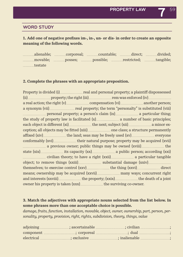# **WORD STUDY**

## **1. Add one of negative prefixes im-, in-, un- or dis- in order to create an opposite meaning of the following words.**

----------alienable; ----------corporeal; ----------countable; ----------direct; ----------divided; movable;  $\ldots$  posses;  $\ldots$  posses;  $\ldots$  possible;  $\ldots$  restricted;  $\ldots$  tangible; ............testate

## **2. Complete the phrases with an appropriate preposition.**

Property is divided (i)<sub>-----------------------</sub> real and personal property; a plaintiff dispossessed (ii)<sub>-----------------------</sub> property; the right (iii)<sub>------------------</sub> rem was enforced (iv)<sub>-----------------</sub> a real action; the right (v)-------------------- compensation (vi)-------------------- another person; a synonym (vii)---------------------- real property; the term "personalty" is substituted (viii) -------------------- personal property; a person's claim (ix)-------------------- a particular thing; the study of property law is facilitated (x)-------------------- a number of basic principles; each object is different (xi)<sub>--------------------</sub> the next; subject (xii)<sub>---------------------</sub> a minor exception; all objects may be fitted (xiii)-------------------- one class; a structure permanently affixed (xiv)-------------------- the land; seas may be freely used (xv)-------------------- everyone conformably (xvi)-------------------- their natural purpose; property may be acquired (xvii) -------------------- a previous owner; public things may be owned (xviii)-------------------- the state (xix)<sub>--------------------</sub> its capacity (xx)<sub>---------------------</sub> a public person; according (xxi) -------------------- civilian theory; to have a right (xxii)-------------------- a particular tangible object; to remove things (xxiii)-------------------- substantial damage (xxiv)------------------- themselves; to exercise control (xxv)-------------------- the thing (xxvi)-------------------- direct means; ownership may be acquired (xxvii)-------------------- many ways; concurrent right and interests (xxviii).............................the property; (xxix).............................the death of a joint owner his property is taken (xxx)-------------------- the surviving co-owner.

# **3. Match the adjectives with appropriate nouns selected from the list below. In some phrases more than one acceptable choice is possible.**

*damage, fruits, function, installation, movable, object, owner, ownership, part, person, personality, property, provision, right, rights, subdivision, theory, things, value*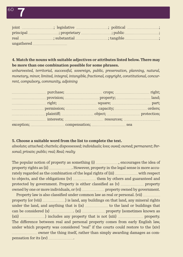

# **4. Match the nouns with suitable adjectives or attributes listed below. There may be more than one combination possible for some phrases.**

*unharvested, territorial, successful, sovereign, public, preservation, planning, natural, monetary, minor, limited, integral, intangible, fractional, copyright, constitutional, concurrent, compulsory, community, adjoining*

## **5. Choose a suitable word from the list to complete the text.**

*absolute; attached; chattels; dispossessed; individuals; loss; owed; owned; permanent; Personal; private; public; real; Real; realty*

The popular notion of property as something (i)  $\ldots$  $\ldots$  $\ldots$  $\ldots$  $\ldots$ , encourages the idea of property rights as (ii)  $\ldots$  However, property in the legal sense is more accurately regarded as the combination of the legal rights of (iii) ............................... with respect to objects, and the obligations (iv) -------------------- them by others and guaranteed and protected by government. Property is either classified as (v) -------------------- property owned by one or more individuals, or (vi) -------------------- property owned by government.

Property law is also classified under common law as real or personal. (vii) .................. property (or (viii) --------------------) is land, any buildings on that land, any mineral rights under the land, and anything that is  $(ix)$   $\ldots$   $\ldots$  to the land or buildings that can be considered (x)  $\ldots$  (xi)  $\ldots$  (xi)  $\ldots$  property (sometimes known as (xii) ----------------------) includes any property that is not (xiii) ---------------------- property. The difference between real and personal property comes from early English law, under which property was considered "real" if the courts could restore to the (xiv) ---------------------- owner the thing itself, rather than simply awarding damages as compensation for its  $(xv)$   $\ldots$   $\ldots$   $\ldots$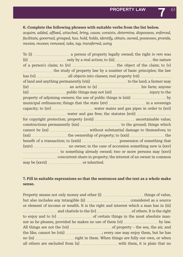# **6. Complete the following phrases with suitable verbs from the list below.**

*acquire, added, affixed, attached, bring, cause, consists, determine, dispossess, enforced, facilitate, governed, grouped, has, hold, holds, identify, obtain, owned, possesses, provide, receive, recover, removed, take, tap, transferred, using*

# **7. Fill in suitable expressions so that the sentences and the text as a whole make sense.**

| or element of income or wealth. It is the right and interest which a man has in (iii) |  |
|---------------------------------------------------------------------------------------|--|
|                                                                                       |  |
|                                                                                       |  |
|                                                                                       |  |
|                                                                                       |  |
|                                                                                       |  |
|                                                                                       |  |
|                                                                                       |  |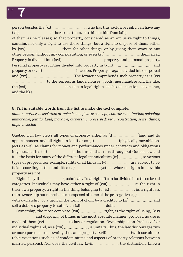

person besides the (xi) ----------------------------- , who has this exclusive right, can have any (xii)  $\ldots$  $\ldots$  $\ldots$  $\ldots$  $\ldots$  $\ldots$  $\ldots$  either to use them, or to hinder him from (xiii)  $\ldots$  $\ldots$  $\ldots$  $\ldots$ of them as he pleases; so that property, considered as an exclusive right to things, contains not only a right to use those things, but a right to dispose of them, either by  $(xiv)$   $\ldots$   $\ldots$   $\ldots$   $\ldots$   $\ldots$   $\ldots$   $\ldots$   $\ldots$  them for other things, or by giving them away to any other person, without any consideration, or even (xv) ------------------------------ them away. Property is divided into (xvi) ------------------------------------ property, and personal property. Personal property is further divided into property in (xvii)  $\ldots$  $\ldots$  $\ldots$  $\ldots$  $\ldots$  $\ldots$  $\ldots$ , and property or (xviii)  $\ldots$  ------------------------------ in action. Property is again divided into corporeal and (xix) -------------------------------------- . The former comprehends such property as is (xx) ------------------------------ to the senses, as lands, houses, goods, merchandise and the like; the (xxi) -------------------------------- consists in legal rights, as choses in action, easements, and the like.

## **8. Fill in suitable words from the list to make the text complete.**

*admit; another; associated; attached; beneficiary; concept; contrary; distinction; enjoying; immovable; jointly; land; movable; ownership; preserved; real; registration; seize; things; unpaid; vested*

Quebec civil law views all types of property either as (i) -------------------- (land and its appurtenances, and all rights in land) or as (ii) -------------------- (physically movable objects as well as claims for money and performances under contracts and obligations in general). This (iii)  $\ldots$   $\ldots$  is the thread that runs throughout Quebec law and it is the basis for many of the different legal technicalities (iv)  $\ldots$  $\ldots$  $\ldots$  $\ldots$  $\ldots$  to various types of property. For example, rights of all kinds in (v) ............................... are subject to official recording in the land titles (vi) ................................ system, whereas rights in movable property are not.

Rights in (vii)  $\ldots$  ------------------- (technically "real rights") can be divided into three broad categories. Individuals may have either a right of (viii) -------------------- , ie, the right in their own property; a right in the thing belonging to (ix) -------------------- , ie, a right less than ownership but nonetheless composed of some of the prerogatives (x)  $\ldots$ with ownership; or a right in the form of claim by a creditor to  $(x_i)$   $\ldots$  and sell a debtor's property to satisfy an (xii) -------------------- debt.

Ownership, the most complete (xiii) -------------------- right, is the right of using, (xiv) -------------------- and disposing of things in the most absolute manner, provided no use is made of them (xv) -------------------- to law or regulation. Ownership is an "exclusive" or individual right and, as a (xvi)  $\ldots$  $\ldots$  $\ldots$  $\ldots$  $\ldots$  $\ldots$ , is unitary. Thus, the law discourages two or more persons from owning the same property (xvii) -------------------- (with certain notable exceptions such as of condominiums and aspects of property relations between married persons). Nor does the civil law (xviii) .............................. the distinction, known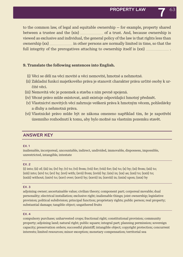to the common law, of legal and equitable ownership — for example, property shared between a trustee and the (xix) -------------------- of a trust. And, because ownership is viewed as exclusive and individual, the general policy of the law is that rights less than ownership (xx)  $\ldots$  $\ldots$  $\ldots$  $\ldots$  $\ldots$  in other persons are normally limited in time, so that the full integrity of the prerogatives attaching to ownership itself is  $(xxi)$   $\ldots$  $\ldots$  $\ldots$  $\ldots$ ...

## **9. Translate the following sentences into English.**

- (i) Věci se dělí na věci movité a věci nemovité, hmotné a nehmotné.
- (ii) Základní funkcí majetkového práva je stanovit charakter práva určité osoby k určité věci.
- (iii) Nemovitá věc je pozemek a stavba s ním pevně spojená.
- (iv) Věcné právo může existovat, aniž existuje odpovídající hmotný předmět.
- (v) Vlastnictví movitých věcí zahrnuje veškerá práva k hmotným věcem, pohledávky a dluhy a nehmotná práva.
- (vi) Vlastnické právo může být ze zákona omezeno například tím, že je zapotřebí územního rozhodnutí k tomu, aby bylo možné na vlastním pozemku stavět.

# **ANSWER KEY**

#### **EX. 1**

inalienable, incorporeal, uncountable, indirect, undivided, immovable, dispossess, impossible, unrestricted, intangible, intestate

#### **EX. 2**

(i) into; (ii) of; (iii) in; (iv) by; (v) to; (vi) from; (vii) for; (viii) for; (ix) to; (x) by; (xi) from; (xii) to; (xiii) into; (xiv) to; (xv) by; (xvi) with; (xvii) from; (xviii) by; (xix) in; (xx) as; (xxi) to; (xxii) to; (xxiii) without; (xxiv) to; (xxv) over; (xxvi) by; (xxvii) in; (xxviii) in; (xxix) upon; (xxx) by

#### **EX. 3**

adjoining owner; ascertainable value; civilian theory; component part; corporeal movable; dual personality; electrical installation; exclusive right; inalienable things; joint ownership; legislative provision; political subdivision; principal function; proprietary rights; public person; real property; substantial damage; tangible object; ungathered fruits

#### **EX. 4**

compulsory purchase; unharvested crops; fractional right; constitutional provision; community property; adjoining land; natural right; public square; integral part; planning permission; sovereign capacity; preservation orders; successful plaintiff; intangible object; copyright protection; concurrent interests; limited resources; minor exception; monetary compensation; territorial sea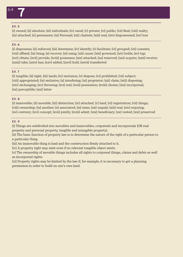

#### **EX. 5**

(i) owned; (ii) absolute; (iii) individuals; (iv) owed; (v) private; (vi) public; (vii) Real; (viii) realty; (ix) attached; (x) permanent; (xi) Personal; (xii) chattels; (xiii) real; (xiv) dispossessed; (xv) loss

### **EX. 6**

(i) dispossess; (ii) enforced; (iii) determine; (iv) identify; (v) facilitate; (vi) grouped; (vii) consists; (viii) affixed; (ix) bring; (x) recover; (xi) using; (xii) cause; (xiii) governed; (xiv) holds; (xv) tap; (xvi) obtain; (xvii) provide; (xviii) possesses; (xix) attached; (xx) removed; (xxi) acquire; (xxii) receive; (xxiii) take; (xxiv) has; (xxv) added; (xxvi) hold; (xxvii) transferred

#### **EX. 7**

(i) tangible; (ii) right; (iii) lands; (iv) exclusion; (v) dispose; (vi) prohibited; (vii) subject; (viii) appropriated; (ix) exclusive; (x) interfering; (xi) proprietor; (xii) claim; (xiii) disposing; (xiv) exchanging; (xv) throwing; (xvi) real; (xvii) possession; (xviii) choses; (xix) incorporeal; (xx) perceptible; (xxi) latter

#### **EX. 8**

(i) immovable; (ii) movable; (iii) distinction; (iv) attached; (v) land; (vi) registration; (vii) things; (viii) ownership; (ix) another; (x) associated; (xi) seize; (xii) unpaid; (xiii) real; (xiv) enjoying; (xv) contrary; (xvi) concept; (xvii) jointly; (xviii) admit; (xix) beneficiary; (xx) vested; (xxi) preserved

#### **EX. 9**

(i) Things are subdivided into movables and immovables, corporeals and incorporeals (OR real property and personal property, tangible and intangible property).

(ii) The basic function of property law is to determine the nature of the right of a particular person to a particular thing.

(iii) An immovable thing is land and the construction firmly attached to it.

(iv) A property right may exist even if no relevant tangible object exists.

(v) The ownership of movable things includes all rights to corporeal things, claims and debts as well as incorporeal rights.

(vi) Property rights may be limited by the law if, for example, it is necessary to get a planning permission in order to build on one's own land.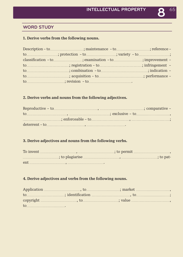

# **WORD STUDY**

## 1. Derive verbs from the following nouns.

| $\frac{1}{2}$ to $\frac{1}{2}$ to $\frac{1}{2}$ to $\frac{1}{2}$ to $\frac{1}{2}$ to $\frac{1}{2}$ to $\frac{1}{2}$ to $\frac{1}{2}$ to $\frac{1}{2}$ to $\frac{1}{2}$ to $\frac{1}{2}$ to $\frac{1}{2}$ to $\frac{1}{2}$ to $\frac{1}{2}$ to $\frac{1}{2}$ to $\frac{1}{2}$ to $\frac{1}{2}$ to |  |
|--------------------------------------------------------------------------------------------------------------------------------------------------------------------------------------------------------------------------------------------------------------------------------------------------|--|

# 2. Derive verbs and nouns from the following adjectives.

## 3. Derive adjectives and nouns from the following verbs.

# 4. Derive adjectives and verbs from the following nouns.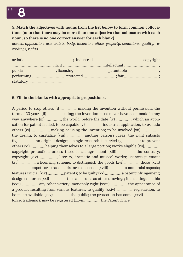

# **5. Match the adjectives with nouns from the list below to form common collocations (note that there may be more than one adjective that collocates with each noun, so there is no one correct answer for each blank).**

*access, application, use, artists, body, invention, office, property, conditions, quality, recordings, rights*

|  | public ; licensing ; patentable ; |  |
|--|-----------------------------------|--|
|  |                                   |  |
|  |                                   |  |

## **6. Fill in the blanks with appropriate prepositions.**

A period to stop others (i)  $\ldots$  making the invention without permission; the term of 20 years (ii)  $\ldots$  filing; the invention must never have been made in any way, anywhere (iii)  $\ldots$  the world, before the date (iv)  $\ldots$  which an application for patent is filed; to be capable (v) -------------- industrial application; to exclude others (vi)  $\ldots$  making or using the invention; to be involved (vii)  $\ldots$   $\ldots$ the design; to capitalize (viii)  $\ldots$  another person's ideas; the right subsists  $(ix)$   $\dots$  an original design; a single research is carried  $(x)$   $\dots$  to prevent others (xi)  $\ldots$ , helping themselves to a large portion; works eligible (xii) $\ldots$ copyright protection; unless there is an agreement  $(xiii)$   $\ldots$  the contrary; copyright (xiv)  $\ldots$   $\ldots$  literary, dramatic and musical works; licences pursuant (xv)  $\ldots$ <sub>i</sub> a licensing scheme; to distinguish the goods (xvi) $\ldots$ <sub>i</sub> those (xvii) -------------- competitors; trade marks are concerned (xviii)-------------- commercial aspects; features crucial (xix) -------------- patents; to be guilty (xx) -------------- a patent infringement; design conforms (xxi)  $\ldots$  the same rules as other drawings; it is distinguishable (xxii)  $\ldots$  any other variety; monopoly right (xxiii)  $\ldots$  $\ldots$  $\ldots$  the appearance of a product resulting from various features; to qualify (xxiv)  $\ldots$  registration; to be made available (xxv)  $\ldots$  the public; the protection has come (xxvi)  $\ldots$ force; trademark may be registered (xxvii.-------------- the Patent Office.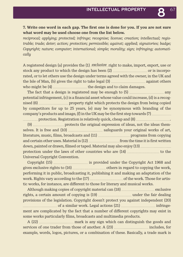*reciprocal; applying; protected; infringe; recognise; license; creation; intellectual; registrable; trade; deter; action; protection; permissible; against; applied; signatories; badge; Copyright; nature; computer; international; simple; morality; sign; infringing; automatically*

A registered design (a) provides the (1) *exclusive* right to make, import, export, use or stock any product to which the design has been (2)  $\ldots$  $\ldots$  $\ldots$  $\ldots$  $\ldots$  $\ldots$  or is incorporated, or to let others use the design under terms agreed with the owner, in the UK and the Isle of Man, (b) gives the right to take legal (3) ------------------------------ against others who might be (4) ------------------------------ the design and to claim damages.

The fact that a design is registered may be enough to (5) ------------------------------ any potential infringement, (c) is a financial asset whose value could increase, (d) is a recognised (6) -------------------------- property right which protects the design from being copied by competitors for up to 25 years, (e) may be synonymous with branding of the company's products and image, (f) in the UK may be the first step towards (7) ......................

 $\ldots$  $\ldots$  $\ldots$  protection. Registration is relatively quick, cheap and  $(8)$   $\ldots$  $\ldots$  $\ldots$  $\ldots$  $\ldots$ . (9) --------------------------- protects the original expression of ideas, not the ideas themselves. It is free and (10) ------------------------------ safeguards your original works of art, literature, music, films, broadcasts and (11) ---------------------------- programs from copying and certain other uses. Material is (12) --------------------------- from the time it is first written down, painted or drawn, filmed or taped. Material may also enjoy (13)  $\ldots$ protection under the laws of other countries who are (14) ---------------------------- to the Universal Copyright Convention.

Copyright (15) **...................................** is provided under the Copyright Act 1968 and gives exclusive rights to (16) ----------------------------- others in regard to copying the work, performing it in public, broadcasting it, publishing it and making an adaptation of the work. Rights vary according to the (17) ----------------------------- of the work. Those for artistic works, for instance, are different to those for literary and musical works.

Although making copies of copyright material can (18) ----------------------------- exclusive rights, a certain amount of copying is (19) ----------------------------- under the fair dealing provisions of the legislation. Copyright doesn't protect you against independent (20) ------------------------------ of a similar work. Legal actions (21) ------------------------------ infringement are complicated by the fact that a number of different copyrights may exist in some works particularly films, broadcasts and multimedia products.

A (22) ------------------------------ mark is any sign which can distinguish the goods and services of one trader from those of another. A (23) ------------------------------ includes, for example, words, logos, pictures, or a combination of these. Basically, a trade mark is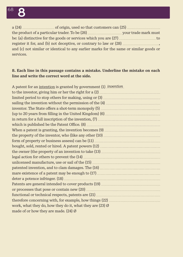

|           | and (c) not similar or identical to any earlier marks for the same or similar goods or |  |
|-----------|----------------------------------------------------------------------------------------|--|
| services. |                                                                                        |  |

# **8. Each line in this passage contains a mistake. Underline the mistake on each line and write the correct word at the side.**

| A patent for an intention is granted by government (1) invention |
|------------------------------------------------------------------|
|                                                                  |
|                                                                  |
|                                                                  |
|                                                                  |
|                                                                  |
|                                                                  |
|                                                                  |
|                                                                  |
|                                                                  |
|                                                                  |
|                                                                  |
|                                                                  |
|                                                                  |
|                                                                  |
|                                                                  |
|                                                                  |
|                                                                  |
|                                                                  |
|                                                                  |
|                                                                  |
|                                                                  |
| work, what they do, how they do it, what they are (23) Ø         |
| made of or how they are made. $(24)$ Ø                           |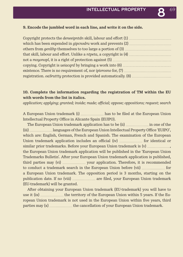## **9. Encode the jumbled word in each line, and write it on the side.**

# **10. Complete the information regarding the registration of TM within the EU with words from the list in italics.**

*application; applying; granted; inside; made; official; oppose; oppositions; request; search*

A European Union trademark (i) -------------------- has to be filed at the European Union Intellectual Property Office in Alicante Spain (EUIPO).

The European Union trademark application has to be (ii) -------------------- in one of the (iii)  $\ldots$  $\ldots$  $\ldots$  $\ldots$  $\ldots$  $\ldots$  languages of the European Union Intellectual Property Office 'EUIPO', which are: English, German, French and Spanish. The examination of the European Union trademark application includes an official  $(iv)$   $\ldots$  $\ldots$  $\ldots$  $\ldots$  for identical or  $s$ imilar prior trademarks. Before your European Union trademark is  $(v)$   $\ldots$  $\ldots$  $\ldots$ the European Union trademark application will be published in the 'European Union Trademarks Bulletin'. After your European Union trademark application is published, third parties may (vi)  $\ldots$  $\ldots$  $\ldots$  $\ldots$  $\ldots$  $\ldots$  your application. Therefore, it is recommended to conduct a trademark search in the European Union before (vii)  $\ldots$  $\ldots$  $\ldots$  $\ldots$  $\ldots$ a European Union trademark. The opposition period is 3 months, starting on the publication date. If no (viii)  $\ldots$  $\ldots$  $\ldots$  $\ldots$  $\ldots$  are filed, your European Union trademark (EU-trademark) will be granted.

After obtaining your European Union trademark (EU-trademark) you will have to use it (ix)  $\ldots$  the territory of the European Union within 5 years. If the European Union trademark is not used in the European Union within five years, third parties may (x)  $\ldots$   $\ldots$  the cancellation of your European Union trademark.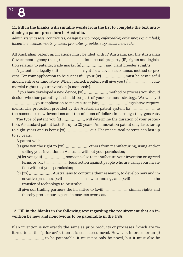

# **11. Fill in the blanks with suitable words from the list to complete the text introducing a patent procedure in Australia.**

*administers; assess; contributes; designs; encourage; enforceable; exclusive; exploit; hold; invention; license; meets; phased; promotes; provide; stop; substance; take*

All Australian patent applications must be filed with IP Australia, i.e., the Australian Government agency that (i)  $\ldots$  intellectual property (IP) rights and legislation relating to patents, trade marks, (ii) ............................. and plant breeder's rights.

A patent is a legally (iii) -------------------- right for a device, substance, method or process. For your application to be successful, your (iv) -------------------- must be new, useful and inventive or innovative. When granted, a patent will give you (v) ------------------- commercial rights to your invention (a monopoly).

If you have developed a new device, (vi) ........................., method or process you should decide whether patenting it should be part of your business strategy. We will (vii) -------------------- your application to make sure it (viii) ----------------------- legislative requirements. The protection provided by the Australian patent system (ix)  $\ldots$  $\ldots$  $\ldots$  $\ldots$ the success of new inventions and the millions of dollars in earnings they generate.

The type of patent you (x) -------------------- will determine the duration of your protection. A standard patent lasts for up to 20 years. An innovation patent only lasts for up to eight years and is being (xi) -------------------- out. Pharmaceutical patents can last up to 25 years.

A patent will:

- (a) give you the right to  $(xii)$   $\ldots$   $\dots$  others from manufacturing, using and/or selling your invention in Australia without your permission;
- (b) let you (xiii)  $\ldots$  someone else to manufacture your invention on agreed terms or (xiv) -------------------- legal action against people who are using your invention without your permission;
- (c) (xv) -------------------- Australians to continue their research, to develop new and innovative products, (xvi)  $\ldots$  ----------------------- new technology and (xvii)  $\ldots$  the transfer of technology to Australia;
- (d) give our trading partners the incentive to (xviii)  $\ldots$  $\ldots$  $\ldots$  $\ldots$  $\ldots$  $\ldots$  similar rights and thereby protect our exports in markets overseas.

## **12. Fill in the blanks in the following text regarding the requirement that an invention be new and nonobvious to be patentable in the USA.**

If an invention is not exactly the same as prior products or processes (which are referred to as the "prior art"), then it is considered novel. However, in order for an (i) ---------------------------- to be patentable, it must not only be novel, but it must also be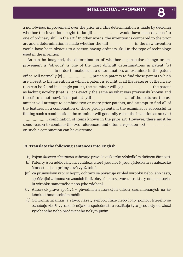a nonobvious improvement over the prior art. This determination is made by deciding whether the invention sought to be (ii) ---------------------- would have been obvious "to one of ordinary skill in the art." In other words, the invention is compared to the prior art and a determination is made whether the (iii) ---------------------- in the new invention would have been obvious to a person having ordinary skill in the type of technology used in the invention.

As can be imagined, the determination of whether a particular change or improvement is "obvious" is one of the most difficult determinations in patent (iv) ------------------------- . In order to make such a determination, an examiner in the patent office will normally (v)  $\ldots$   $\ldots$   $\ldots$   $\ldots$   $\ldots$   $\ldots$  previous patents to find those patents which are closest to the invention in which a patent is sought. If all the features of the invention can be found in a single patent, the examiner will (vi)  $\ldots$   $\ldots$  the patent as lacking novelty (that is, it is exactly the same as what was previously known and therefore is not new). If no patent (vii)  $\ldots$  $\ldots$  $\ldots$  $\ldots$  $\ldots$  $\ldots$  $\ldots$  all of the features, the examiner will attempt to combine two or more prior patents, and attempt to find all of the features in a combination of those prior patents. If the examiner is successful in finding such a combination, the examiner will generally reject the invention as an (viii) ---------------------- combination of items known in the prior art. However, there must be some reason to combine the two references, and often a rejection (ix) --------------------- on such a combination can be overcome.

#### **13. Translate the following sentences into English.**

- (i) Pojem *duševní vlastnictví* zahrnuje práva k veškerým výsledkům duševní činnosti.
- (ii) Patenty jsou udělovány na vynálezy, které jsou nové, jsou výsledkem vynálezecké činnosti a jsou průmyslově využitelné.
- (iii) Za průmyslový vzor schopný ochrany se považuje vzhled výrobku nebo jeho části, spočívající zejména ve znacích linií, obrysů, barev, tvaru, struktury nebo materiálu výrobku samotného nebo jeho zdobení.
- (iv) Autorské právo spočívá v původních autorských dílech zaznamenaných na jakémkoli hmatatelném médiu.
- (v) Ochranná známka je slovo, název, symbol, fráze nebo logo, pomocí kterého se označuje zboží vyrobené nějakou společností a rozlišuje tyto produkty od zboží vyrobeného nebo prodávaného někým jiným.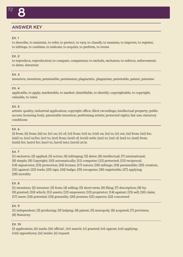# **ANSWER KEY**

#### **EX. 1**

<sup>72</sup> **8**

to describe, to maintain, to refer, to protect, to vary, to classify, to examine, to improve, to register, to infringe, to combine, to indicate, to acquire, to perform, to revise

#### **EX. 2**

to reproduce, reproduction; to compare, comparison; to exclude, exclusion; to enforce, enforcement; to deter, deterrent

#### **EX. 3**

inventive, invention; permissible, permission; plagiaristic, plagiarism; patentable, patent, patentee

#### **EX. 4**

applicable, to apply; marketable, to market; identifiable, to identify; copyrightable, to copyright; valuable, to value

#### **EX. 5**

artistic quality; industrial application; copyright office; illicit recordings; intellectual property; public access; licensing body; patentable invention; performing artists; protected rights; fair use; statutory conditions

#### **EX. 6**

(i) from; (ii) from; (iii) in; (iv) on; (v) of; (vi) from; (vii) in; (viii) on; (ix) in; (x) out; (xi) from; (xii) for; (xiii) to; (xiv) in/for; (xv) to; (xvi) from; (xvii) of; (xviii) with; (xix) to; (xx) of; (xxi) to; (xxii) from; (xxiii) for; (xxiv) for; (xxv) to; (xxvi) into; (xxvii) at/in

#### **EX. 7**

(1) exclusive; (2) applied; (3) action; (4) infringing; (5) deter; (6) intellectual; (7) international; (8) simple; (9) Copyright; (10) automatically; (11) computer; (12) protected; (13) reciprocal; (14) signatories; (15) protection; (16) license; (17) nature; (18) infringe; (19) permissible; (20) creation; (21) against; (22) trade; (23) sign; (24) badge; (25) recognise; (26) registrable; (27) applying; (28) morality

#### **EX. 8**

 $(1)$  invention;  $(2)$  inventor;  $(3)$  from;  $(4)$  selling;  $(5)$  short-term;  $(6)$  filing;  $(7)$  description;  $(8)$  by; (9) granted; (10) which; (11) assets; (12) empowers; (13) proprietor; (14) against; (15) sell; (16) claim; (17) mere; (18) potential; (19) generally; (20) possess; (21) aspects; (22) concerned

#### **EX. 9**

(1) independent; (2) producing; (3) helping; (4) patent; (5) monopoly; (6) acquired; (7) provision; (8) Statutory

#### **EX. 10**

(i) application; (ii) made; (iii) official ; (iv) search; (v) granted; (vi) oppose; (vii) applying; (viii) oppositions; (ix) inside; (x) request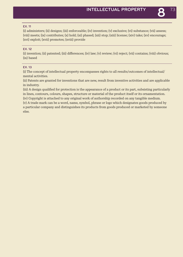## **EX. 11**

(i) administers; (ii) designs; (iii) enforceable; (iv) invention; (v) exclusive; (vi) substance; (vii) assess; (viii) meets; (ix) contributes; (x) hold; (xi) phased; (xii) stop; (xiii) license; (xiv) take; (xv) encourage; (xvi) exploit; (xvii) promotes; (xviii) provide

## **EX. 12**

(i) invention; (ii) patented; (iii) differences; (iv) law; (v) review; (vi) reject; (vii) contains; (viii) obvious; (ix) based

## **EX. 13**

(i) The concept of intellectual property encompasses rights to all results/outcomes of intellectual/ mental activities.

(ii) Patents are granted for inventions that are new, result from inventive activities and are applicable in industry.

(iii) A design qualified for protection is the appearance of a product or its part, subsisting particularly in lines, contours, colours, shapes, structure or material of the product itself or its ornamentation.

(iv) Copyright is attached to any original work of authorship recorded on any tangible medium.

(v) A trade mark can be a word, name, symbol, phrase or logo which designates goods produced by a particular company and distinguishes its products from goods produced or marketed by someone else.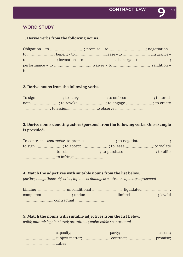## **1. Derive verbs from the following nouns.**

|  | Obligation - to $\ldots$ $\ldots$ $\ldots$ $\ldots$ $\ldots$ $\ldots$ $\ldots$ $\ldots$ $\ldots$ $\ldots$ $\ldots$ $\ldots$ $\ldots$ $\ldots$ $\ldots$ $\ldots$ $\ldots$ $\ldots$ $\ldots$ $\ldots$ $\ldots$ $\ldots$ $\ldots$ $\ldots$ $\ldots$ $\ldots$ $\ldots$ $\ldots$ $\ldots$ $\ldots$ $\ldots$ $\ldots$ $\ldots$ $\ldots$ |  |
|--|-----------------------------------------------------------------------------------------------------------------------------------------------------------------------------------------------------------------------------------------------------------------------------------------------------------------------------------|--|
|  |                                                                                                                                                                                                                                                                                                                                   |  |
|  |                                                                                                                                                                                                                                                                                                                                   |  |
|  |                                                                                                                                                                                                                                                                                                                                   |  |
|  |                                                                                                                                                                                                                                                                                                                                   |  |

## **2. Derive nouns from the following verbs.**

# **3. Derive nouns denoting actors (persons) from the following verbs. One example is provided.**

## **4. Match the adjectives with suitable nouns from the list below.**

*parties; obligations; objective; influence; damages; contract; capacity; agreement*

# **5. Match the nouns with suitable adjectives from the list below.**

*valid; mutual; legal; injured; gratuitous ; enforceable ; contractual*

| duties |  |
|--------|--|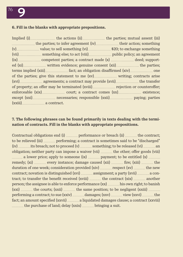# **6. Fill in the blanks with appropriate prepositions.**

| Implied (i) the actions (ii) the network of the parties; mutual assent (iii) |  |
|------------------------------------------------------------------------------|--|
|                                                                              |  |
|                                                                              |  |
|                                                                              |  |
|                                                                              |  |
|                                                                              |  |
|                                                                              |  |
|                                                                              |  |
|                                                                              |  |
|                                                                              |  |
|                                                                              |  |
|                                                                              |  |
|                                                                              |  |

# **7. The following phrases can be found primarily in texts dealing with the termination of contracts. Fill in the blanks with appropriate prepositions.**

Contractual obligations end (i)  $...$  performance or breach (ii)  $...$  the contract; to be relieved (iii)  $\ldots$  performing; a contract is sometimes said to be "discharged"  $(iv)$   $\dots$  its breach; not to proceed  $(v)$   $\dots$  $\dots$  something; to be released  $(vi)$   $\dots$  $\dots$  $an$ obligation; neither party can impose a waiver (vii) ............. the other; offer goods (viii)  $\ldots$ <sub>---------</sub> a lower price; apply to someone (ix)  $\ldots$  $\ldots$  $\ldots$  payment; to be entitled (x)  $\ldots$  $\ldots$  $\ldots$ remedy; (xi)  $\ldots$  every instance; damage caused (xii)  $\ldots$  fire; (xiii)  $\ldots$  the duration of one week; consideration provided (xiv) ............. respect (xv) ............. the new contract; novation is distinguished (xvi) ............. assignment; a party (xvii) ............. a contract; to transfer the benefit received (xviii)  $\ldots$ , the contract (xix)  $\ldots$ , another person; the assignee is able to enforce performance  $(xx)$   $...$  his own right; to banish (xxi)  $\ldots$  the courts; (xxii)  $\ldots$  the same position; to be negligent (xxiii)  $\ldots$ performing a contract; to sue (xxiv)  $\ldots$  $\ldots$  $\ldots$  damages; (xxv)  $\ldots$  $\ldots$  $\ldots$  view (xxvi)  $\ldots$  $\ldots$  $\ldots$  the fact; an amount specified (xxvii) ............. a liquidated damages clause; a contract (xxviii) ............. the purchase of land; delay (xxix) ............. bringing a suit.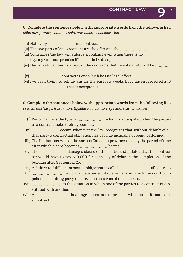## **8. Complete the sentences below with appropriate words from the following list.**

*offer, acceptance, voidable, void, agreement, consideration*

- $(i)$  Not every  $\ldots$   $\ldots$  is a contract.
- $(i)$  The two parts of an agreement are the offer and the  $\ldots$  $\ldots$  $\ldots$  $\ldots$  $\ldots$  $\ldots$ .
- (iii) Sometimes the law will enforce a contract even when there is no  $\ldots$  $\ldots$  $\ldots$  $\ldots$ (e.g. a gratuitous promise if it is made by deed) .
- (iv) Harry is still a minor so most of the contracts that he enters into will be  $\ldots$

----------------------------------.

- $(v)$  A  $\ldots$   $\ldots$   $\ldots$   $\ldots$   $\ldots$   $\ldots$   $\ldots$   $\ldots$  contract is one which has no legal effect.
- (vi) I've been trying to sell my car for the past few weeks but I haven't received a(n) -------------------------------- that is acceptable.

# **9. Complete the sentences below with appropriate words from the following list.**

*breach, discharge, frustration, liquidated, novation, specific, statute, waiver*

- (i) Performance is the type of ------------------------ which is anticipated when the parties to a contract make their agreement.
- (ii) ------------------------ occurs whenever the law recognizes that without default of either party a contractual obligation has become incapable of being performed.
- (iii) The Limitations Acts of the various Canadian provinces specify the period of time after which a debt becomes .................................. barred.
- (iv) The ------------------------ damages clause of the contract stipulated that the contractor would have to pay \$10,000 for each day of delay in the completion of the building after September 25.
- (v) A failure to fulfil a contractual obligation is called a ------------------------ of contract.
- (vi) ---------------------------- performance is an equitable remedy in which the court compels the defaulting party to carry out the terms of the contract.
- (vii) --------------------------- is the situation in which one of the parties to a contract is substituted with another.
- (viii) A  $\ldots$   $\ldots$   $\ldots$   $\ldots$   $\ldots$  is an agreement not to proceed with the performance of a contract.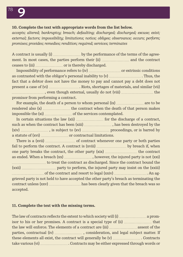

## **10. Complete the text with appropriate words from the list below.**

*accepts; altered; bankruptcy; breach; defaulting; discharged; discharged; excuse; exist; external; factors; impossibility; limitations; notice; obligee; observance; occurs; perform; promises; provides; remedies; rendition; required; services; terminates*

A contract is usually (i)  $\ldots$  by the performance of the terms of the agreement. In most cases, the parties perform their (ii)  $\ldots$  $\ldots$  $\ldots$  $\ldots$  $\ldots$  $\ldots$  and the contract ceases to (iii) ------------------------ or is thereby discharged.

Impossibility of performance refers to (iv)  $\ldots$  $\ldots$  $\ldots$  $\ldots$  $\ldots$  $\ldots$  or extrinsic conditions as contrasted with the obligor's personal inability to (v) ---------------------------- . Thus, the fact that a debtor does not have the money to pay and cannot pay a debt does not present a case of (vi) -------------------------- . Riots, shortages of materials, and similar (vii) ---------------------------- , even though external, usually do not (viii) ---------------------------- the promisor from performing a contract.

For example, the death of a person to whom personal (ix) ------------------------ are to be rendered also (x) ------------------------ the contract when the death of that person makes impossible the (xi)  $\ldots$  $\ldots$  $\ldots$  $\ldots$  $\ldots$  $\ldots$  of the services contemplated.

In certain situations the law (xii) ------------------------ for the discharge of a contract, such as when the contract has been (xiii) ------------------------ , has been destroyed by the (xiv) ------------------------ , is subject to (xv) ------------------------ proceedings, or is barred by a statute of (xvi) ------------------------ or contractual limitations.

There is a (xvii) -------------------------- of contract whenever one party or both parties fail to perform the contract. A contract is (xviii) -------------------------- by breach if, when one party breaks the contract, the other party (xix)  $\ldots$  $\ldots$  $\ldots$  $\ldots$  $\ldots$  $\ldots$  $\ldots$  the contract as ended. When a breach (xx) ------------------------ , however, the injured party is not (xxi) ------------------------------ to treat the contract as discharged. Since the contract bound the (xxii)  $\ldots$ <sub>c</sub> party to perform, the injured party may insist on the (xxiii) ---------------------------- of the contract and resort to legal (xxiv) ---------------------------- . An aggrieved party is not held to have accepted the other party's breach as terminating the contract unless (xxv) ---------------------------- has been clearly given that the breach was so accepted.

## **11. Complete the text with the missing terms.**

The law of contracts reflects the extent to which society will (i)  $...$  a promisor to his or her promises. A contract is a special type of (ii)  $\ldots$  $\ldots$  $\ldots$  $\ldots$  $\ldots$  $\ldots$  $\ldots$ the law will enforce. The elements of a contract are (iii)  $\ldots$  $\ldots$  $\ldots$  $\ldots$  $\ldots$  $\ldots$  $\ldots$  assent of the parties, contractual (iv) ................................, consideration, and legal subject matter. If these elements all exist, the contract will generally be (v) ------------------------ . Contracts take various (vi)  $\ldots$   $\ldots$   $\ldots$   $\ldots$   $\ldots$   $\ldots$   $\ldots$   $\ldots$   $\ldots$   $\ldots$   $\ldots$   $\ldots$   $\ldots$   $\ldots$   $\ldots$   $\ldots$   $\ldots$   $\ldots$   $\ldots$   $\ldots$   $\ldots$   $\ldots$   $\ldots$   $\ldots$   $\ldots$   $\ldots$   $\ldots$   $\ldots$   $\ldots$   $\ldots$   $\ldots$   $\ldots$   $\ldots$   $\ldots$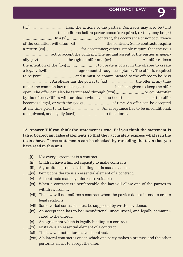| ٠ |  |
|---|--|
|   |  |
|   |  |

**12. Answer T if you think the statement is true, F if you think the statement is false. Correct any false statements so that they accurately express what is in the texts above. These statements can be checked by rereading the texts that you have read in this unit.**

- ------(i) Not every agreement is a contract.
- ........(ii) Children have a limited capacity to make contracts.
- ........(iii) A gratuitous promise is binding if it is made by deed.
- .......(iv) Being considerate is an essential element of a contract.
- ........(v) All contracts made by minors are voidable.
- ------(vi) When a contract is unenforceable the law will allow one of the parties to withdraw from it.
- ------(vii) The law will not enforce a contract when the parties do not intend to create legal relations.
- ........(viii) Some verbal contracts must be supported by written evidence.
- ------(ix) An acceptance has to be unconditional, unequivocal, and legally communicated to the offeror.
- $\ldots$  $(x)$  An agreement which is legally binding is a contract.
- ------(xi) Mistake is an essential element of a contract.
- ------(xii) The law will not enforce a void contract.
- ------(xiii) A bilateral contract is one in which one party makes a promise and the other performs an act to accept the offer.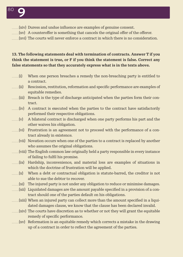

- .......(xiv) Duress and undue influence are examples of genuine consent.
- ........(xv) A counteroffer is something that cancels the original offer of the offeror.
- ------(xvi) The courts will never enforce a contract in which there is no consideration.

# **13. The following statements deal with termination of contracts. Answer T if you think the statement is true, or F if you think the statement is false. Correct any false statements so that they accurately express what is in the texts above.**

- ------(i) When one person breaches a remedy the non-breaching party is entitled to a contract.
- ------(ii) Rescission, restitution, reformation and specific performance are examples of equitable remedies.
- ------(iii) Breach is the type of discharge anticipated when the parties form their contract.
- ------(iv) A contract is executed when the parties to the contract have satisfactorily performed their respective obligations.
- ------(v) A bilateral contract is discharged when one party performs his part and the other waives his obligation.
- ------(vi) Frustration is an agreement not to proceed with the performance of a contract already in existence.
- ........(vii) Novation occurs when one of the parties to a contract is replaced by another who assumes the original obligations.
- ------(viii) The English common law originally held a party responsible in every instance of failing to fulfil his promise.
- ........(ix) Hardship, inconvenience, and material loss are examples of situations in which the doctrine of frustration will be applied.
- ........(x) When a debt or contractual obligation is statute-barred, the creditor is not able to sue the debtor to recover.
- ........(xi) The injured party is not under any obligation to reduce or minimise damages.
- ------(xii) Liquidated damages are the amount payable specified in a provision of a contract should one of the parties default on his obligations.
- ------(xiii) When an injured party can collect more than the amount specified in a liquidated damages clause, we know that the clause has been declared invalid.
- ------(xiv) The courts have discretion as to whether or not they will grant the equitable remedy of specific performance.
- ........(xv) Reformation is an equitable remedy which corrects a mistake in the drawing up of a contract in order to reflect the agreement of the parties.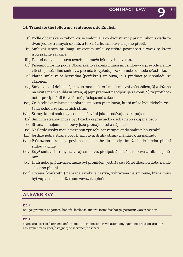## **14. Translate the following sentences into English.**

- (i) Podle občanského zákoníku se smlouva jako dvoustranný právní úkon skládá ze dvou jednostranných úkonů, a to z návrhu smlouvy a z jeho přijetí.
- (ii) Smluvní strany přijímají uzavřením smlouvy určité povinnosti a závazky, které jsou právně závazné.
- (iii) Dokud nebyla smlouva uzavřena, může být návrh odvolán.
- (iv) Písemnou formu podle Občanského zákoníku musí mít smlouvy o převodu nemovitostí, jakož i jiné smlouvy, pro něž to vyžaduje zákon nebo dohoda účastníků.
- (v) Platná smlouva je bezvadná (perfektní) smlouva, jejíž předmět je v souladu se zákonem.
- (vi) Smlouva je 1) dohoda 2) mezi stranami, které mají smluvní způsobilost, 3) založená na skutečném souhlasu stran, 4) jejíž předmět neodporuje zákonu, 5) za protihodnotu (protiplnění) 6) ve formě předepsané zákonem.
- (vii) Zrušitelná či relativně neplatná smlouva je smlouva, která může být kdykoliv zrušena jednou ze smluvních stran.
- (viii) Strany kupní smlouvy jsou označováni jako prodávající a kupující.
- (ix) Smluvní stranou může být fyzická či právnická osoba nebo skupina osob.
- (x) Stranami nájemní smlouvy jsou pronajímatel a nájemce.
- (xi) Nezletilé osoby mají omezenou způsobilost vstupovat do smluvních vztahů.
- (xii) Jestliže jedna strana poruší smlouvu, druhá strana má nárok na náhradu.
- (xiii) Poškozená strana je povinna snížit náhradu škody tím, že bude hledat plnění smlouvy jinde.
- (xiv) Když smluvní strany uzavírají smlouvu, předpokládají, že smlouva zanikne splněním.
- (xv) Dluh nebo jiný závazek může být promlčen, jestliže se věřitel dlouhou dobu nehlásí o jeho plnění.
- (xvi) Určená (konkrétní) náhrada škody je částka, vyhrazená ve smlouvě, která musí být zaplacena, jestliže není závazek splněn.

# **ANSWER KEY**

### **EX. 1**

oblige; promise; negotiate; benefit; let/lease; insure; form; discharge; perform; waive; render

#### **EX. 2**

signature; carrier/carriage; enforcement; termination; revocation; engagement; creation/creator; assignment/assignor/assignee; observance/observer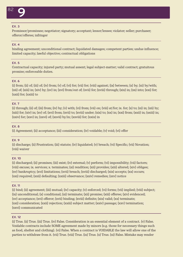

### **EX. 3**

Promissor/promissee; negotiator; signatory; acceptant; lessor/lessee; violator; seller; purchaser; offeror/offeree; infringer

## **EX. 4**

binding agreement; unconditional contract; liquidated damages; competent parties; undue influence; limited capacity; lawful objective; contractual obligations

## **EX. 5**

Contractual capacity; injured party; mutual assent; legal subject-matter; valid contract; gratuitous promise; enforceable duties.

## **EX. 6**

(i) from; (ii) of; (iii) of; (iv) from; (v) of; (vi) for; (vii) for; (viii) against; (ix) between; (x) by; (xi) by/with; (xii) of; (xiii) in; (xiv) by; (xv) in; (xvi) from/out of; (xvii) for; (xviii) through; (xix) in; (xx) into; (xxi) for; (xxii) for; (xxiii) to

### **EX. 7**

(i) through; (ii) of; (iii) from; (iv) by; (v) with; (vi) from; (vii) on; (viii) at/for; ix. for; (x) to; (xi) in; (xii) by; (xiii) for; (xiv) in; (xv) of; (xvi) from; (xvii) to; (xviii) under; (xix) to; (xx) in; (xxi) from; (xxii) in; (xxiii) in; (xxiv) for; (xxv) in; (xxvi) of; (xxvii) by/in; (xxviii) for; (xxix) in

## **EX. 8**

(i) Agreement; (ii) acceptance; (iii) consideration; (iv) voidable; (v) void; (vi) offer

#### **EX. 9**

(i) discharge; (ii) Frustration; (iii) statute; (iv) liquidated; (v) breach; (vi) Specific; (vii) Novation; (viii) waiver

#### **EX. 10**

(i) discharged; (ii) promises; (iii) exist; (iv) external; (v) perform; (vi) impossibility; (vii) factors; (viii) excuse; ix. services; x. terminates; (xi) rendition; (xii) provides; (xiii) altered; (xiv) obligee; (xv) bankruptcy; (xvi) limitations; (xvii) breach; (xviii) discharged; (xix) accepts; (xx) occurs; (xxi) required; (xxii) defaulting; (xxiii) observance; (xxiv) remedies; (xxv) notice

### **EX. 11**

(i) bind; (ii) agreement; (iii) mutual; (iv) capacity; (v) enforced; (vi) forms; (vii) implied; (viii) subject; (ix) unconditional; (x) conditional; (xi) terminate; (xii) promise; (xiii) offeree; (xiv) evidenced; (xv) acceptance; (xvi) offeror; (xvii) binding; (xviii) definite; (xix) valid; (xx) terminate; (xxi) consideration; (xxii) rejection; (xxiii) subject matter; (xxiv) passage; (xxv) termination; (xxvi) communicated

## **EX. 12**

(i) True. (ii) True. (iii) True. (iv) False. Consideration is an essential element of a contract. (v) False. Voidable contracts include SOME agreement made by minors (e.g. those for necessary things such as food, shelter and clothing). (vi) False. When a contract is VOIDABLE the law will allow one of the parties to withdraw from it. (vii) True. (viii) True. (ix) True. (x) True. (xi) False. Mistake may render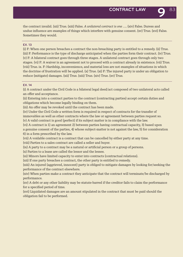the contract invalid. (xii) True. (xiii) False. *A unilateral contract is one* …. (xiv) False. Duress and undue influence are examples of things which interfere with genuine consent. (xv) True. (xvi) False. Sometimes they would.

## **EX. 13**

(i) F: When one person breaches a contract the non-breaching party is entitled to a remedy. (ii) True. (iii) F: Performance is the type of discharge anticipated when the parties form their contract. (iv) True. (v) F: A bilateral contract goes through three stages. A unilateral contract goes through only two stages. (vi) F: A waiver is an agreement not to proceed with a contract already in existence. (vii) True. (viii) True. ix. F: Hardship, inconvenience, and material loss are not examples of situations in which the doctrine of frustration will be applied. (x) True. (xi) F: The injured party is under an obligation to reduce (mitigate) damages. (xii) True. (xiii) True. (xiv) True. (xv) True.

### **EX. 14**

(i) A contract under the Civil Code is a bilateral legal deed/act composed of two unilateral acts called an offer and acceptance.

(ii) Entering into a contract parties to the contract (contracting parties) accept certain duties and obligations which become legally binding on them.

(iii) An offer may be revoked until the contract has been made.

(iv) Under the Civil Code a written form is required in respect of contracts for the transfer of immovables as well as other contracts where the law or agreement between parties request so.

(v) A valid contract is good (perfect) if its subject matter is in compliance with the law.

(vi) A contract is 1) an agreement 2) between parties having contractual capacity, 3) based upon a genuine consent of the parties, 4) whose subject-matter is not against the law, 5) for consideration 6) in a form prescribed by the law.

(vii) A voidable contract is a contract that can be cancelled by either party at any time.

(viii) Parties to a sales contract are called a seller and buyer.

(ix) A party to a contract may be a natural or artificial person or a group of persons.

(x) Parties to a lease are called the lessor and the lessee.

(xi) Minors have limited capacity to enter into contracts (contractual relations).

(xii) If one party breaches a contract, the other party is entitled to remedy.

(xiii) An injured (aggrieved, innocent) party is obliged to mitigate damages by looking for/seeking the performance of the contract elsewhere.

(xiv) When parties make a contract they anticipate that the contract will terminate/be discharged by performance.

(xv) A debt or any other liability may be statute-barred if the creditor fails to claim the performance for a specified period of time.

(xvi) Liquidated damages are an amount stipulated in the contract that must be paid should the obligation fail to be performed.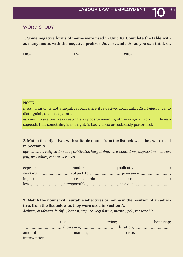

**1. Some negative forms of nouns were used in Unit 10. Complete the table with as many nouns with the negative prefixes** *dis-***,** *in-***, and** *mis-* **as you can think of.**

| DIS- | $IN-$ | MIS- |
|------|-------|------|
|      |       |      |
|      |       |      |
|      |       |      |
|      |       |      |
|      |       |      |
|      |       |      |

## **NOTE**

*Discrimination* is not a negative form since it is derived from Latin *discriminare*, i.e. to distinguish, divide, separate.

*dis-* and *in-* are prefixes creating an opposite meaning of the original word, while *mis*suggests that something is not right, is badly done or recklessly performed.

# **2. Match the adjectives with suitable nouns from the list below as they were used in Section A.**

*agreement, a ratification vote, arbitrator, bargaining, care, conditions, expression, manner, pay, procedure, rebate, services*

# **3. Match the nouns with suitable adjectives or nouns in the position of an adjective, from the list below as they were used in Section A.**

*definite, disability, faithful, honest, implied, legislative, mental, poll, reasonable*

| intervention. |  |  |
|---------------|--|--|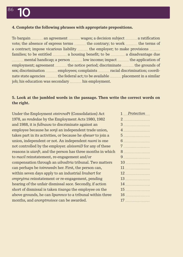

## **4. Complete the following phrases with appropriate prepositions.**

To bargain  $\ldots$  an agreement  $\ldots$  wages; a decision subject  $\ldots$  a ratification vote; the absence of express terms  $\ldots$ , the contrary; to work  $\ldots$ , the terms of a contract; impose vicarious liability  $\ldots$  the employer; to make provisions  $\ldots$ families; to be entitled  $\ldots$  a housing benefit; to be  $\ldots$  a disadvantage due  $\ldots$ <sub>----------</sub> mental handicap; a person  $\ldots$ <sub>----------</sub> low income; impact  $\ldots$ <sub>---------</sub> the application of employment; agreement  $\ldots$ , the notice period; discriminate  $\ldots$ , the grounds of sex; discrimination  $\ldots$  employees; complaints  $\ldots$  racial discrimination; coordinate state agencies  $\ldots$ , the federal act; to be available  $\ldots$ , placement in a similar job; his education was secondary ............. his employment.

# **5. Look at the jumbled words in the passage. Then write the correct words on the right.**

Under the Employment *oteircnoPt* (Consolidation) Act 1978, as *mndedae* by the Employment Acts 1980, 1982 2 and 1988, it is *fullnawu* to discriminate against an 3 employee because he *sonji* an independent trade union, 4 takes part in its activities, or because he *sfseuer* to join a union, independent or not. An independent *nuoni* is one 6 not controlled by the employer. *alsissmiD* for any of these 7 reasons is *uianfr*, and the person has three months in which to *macil* reinstatement, re-engagement and/or 9 compensation through an *uilnsdtria* tribunal. Two matters can perhaps be *toimneedn* her. First, the person can, within seven days apply to an industrial *linubart* for *oreprytma* reinstatement or re-engagement, pending hearing of the unfair dismissal *sace*. Secondly, if action short of dismissal is taken *tisanga* the employee on the above grounds, he can *lipamnco* to a tribunal within three months, and *anonptmsioce* can be awarded.

| Protection<br>$\mathbf{1}$ |
|----------------------------|
| $2^{\circ}$                |
| 3                          |
| $\overline{4}$             |
| 5                          |
| $6 \dots$                  |
|                            |
| 8                          |
|                            |
|                            |
| 11<br>                     |
|                            |
|                            |
| 14                         |
| 15                         |
| 16                         |
| 17                         |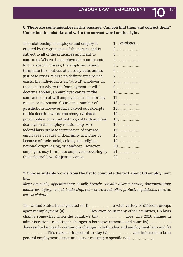**6. There are some mistakes in this passage. Can you find them and correct them? Underline the mistake and write the correct word on the right.**

The relationship of employer and employ is created by the grievance of the parties and is 2 subject to all of the principles applicant to contracts. Where the employment counter sets 4 forth a specific duress, the employer cannot terminate the contract at an early date, unless 6 just case exists. Where no definite time period 7 exists, the individual is an "at will" employer. In 8 those status where the "employment at will" doctrine applies, an employer can term the contract of an at-will employee at a time for any reason or no reason. Course in a number of jurisdictions however have carved out excerpts to this doctrine where the charge violates public policy, or is contrast to good faith and fair 15 dealings in the employ relationship. Also federal laws probate termination of covered employees because of their unity activities or 18 because of their racial, colour, sex, religion, 19 national origin, aging, or handicap. However, employers may terminate employees covering by these federal laws for justice cause.

| 1 …employee…. |
|---------------|
|               |
|               |
|               |
| 5             |
|               |
| 7             |
| 8             |
|               |
|               |
|               |
|               |
|               |
|               |
|               |
|               |
|               |
|               |
|               |
|               |
|               |
| 22            |
|               |

# **7. Choose suitable words from the list to complete the text about US employment law.**

*alert; amicable; appointments; at-will; breach; consult; discrimination; documentation; industries; injury; lawful; leadership; non-contractual; offer; protect; regulations; release; varies; violation*

The United States has legislated to (i) -------------------- a wide variety of different groups against employment (ii)  $...$  However, as in many other countries, US laws change somewhat when the country's (iii) ---------------------- does. The 2016 change in administration – resulting in changes in both governmental and court (iv) ........................ has resulted in nearly continuous changes in both labor and employment laws and (v) --------------------. This makes it important to stay (vi) -------------------- and informed on both general employment issues and issues relating to specific (vii)  $\ldots$  $\ldots$  $\ldots$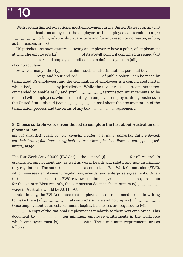

With certain limited exceptions, most employment in the United States is on an (viii) -------------------- basis, meaning that the employer or the employee can terminate a (ix) -------------------- working relationship at any time and for any reason or no reason, as long as the reasons are (x) --------------------.

US jurisdictions have statutes allowing an employer to have a policy of employment at will. The employer's (xi)  $\ldots$  of its at-will policy, if confirmed in signed (xii) .........................letters and employee handbooks, is a defence against a (xiii) ...................... of contract claim.

However, many other types of claim - such as discrimination, personal (xiv) ........... --------------------, wage and hour and (xv) -------------------- of public policy – can be made by terminated US employees, and the termination of employees is a complicated matter which (xvi) -------------------- by jurisdiction. While the use of release agreements is recommended to enable early and (xvii) -------------------- termination arrangements to be reached with employees, when terminating an employee, employers doing business in the United States should (xviii) -------------------- counsel about the documentation of the termination process and the terms of any (xix) -------------------- agreement.

# **8. Choose suitable words from the list to complete the text about Australian employment law.**

*annual; awarded; basis; comply; comply; creates; distribute; domestic; duty; enforced; entitled; flexible; full-time; hourly; legitimate; notice; official; outlines; parental; public; voluntary; wage*

The Fair Work Act of 2009 (FW Act) is the general (i)  $\ldots$  $\ldots$  $\ldots$  $\ldots$  for all Australia's established employment law, as well as work, health and safety, and non-discriminatory regulations. The act (ii)  $\ldots$  a council, the Fair Work Commission (FWC), which oversees employment regulations, awards, and enterprise agreements. On an (iii)  $\ldots$  --------------------- basis, the FWC reviews minimum (iv)  $\ldots$  requirements for the country. Most recently, the commission deemed the minimum  $(v)$   $\ldots$  $\ldots$  $\ldots$ wage in Australia would be AU\$18.93.

Additionally, the FW Act states that employment contracts need not be in writing to make them (vi)  $\ldots$  ---------------... Oral contracts suffice and hold up as (vii)  $\ldots$  -----------------Once employment at an establishment begins, businesses are required to (viii)  $\ldots$ -------------- a copy of the National Employment Standards to their new employees. This document (ix)  $\ldots$   $\ldots$  ten minimum employee entitlements in the workforce which employers must  $(x)$   $\ldots$   $\ldots$  with. These minimum requirements are as follows: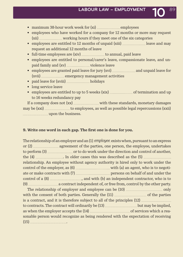- maximum 38-hour work week for (xi) ................................ employees
- � employees who have worked for a company for 12 months or more may request (xii)  $\ldots$  working hours if they meet one of the six categories
- employees are entitled to 12 months of unpaid (xiii) .............................. leave and may request an additional 12 months of leave
- � full-time employees are (xiv) -------------------- to annual, paid leave
- � employees are entitled to personal/carer's leave, compassionate leave, and unpaid family and (xv) -------------------- violence leave
- � employees are granted paid leave for jury (xvi) -------------------- and unpaid leave for (xvii) -------------------- emergency management activities
- � paid leave for (xviii) -------------------- holidays
- long service leave
- � employees are entitled to up to 5 weeks (xix) -------------------- of termination and up to 16 weeks redundancy pay

If a company does not (xx)  $\ldots$  $\ldots$  $\ldots$  $\ldots$  $\ldots$  $\ldots$  $\ldots$  with these standards, monetary damages may be (xxi) ---------------------- to employees, as well as possible legal repercussions (xxii) ---------------------- upon the business.

# **9. Write one word in each gap. The first one is done for you.**

The relationship of an employer and an (1) *employee* exists when, pursuant to an express or (2) ---------------------- agreement of the parties, one person, the employee, undertakes to perform (3) ---------------------- or to do work under the direction and control of another, the  $(4)$   $\ldots$  $\ldots$  $\ldots$  $\ldots$  $\ldots$  In older cases this was described as the  $(5)$   $\ldots$  $\ldots$  $\ldots$  $\ldots$ relationship. An employee without agency authority is hired only to work under the control of the employer, as  $(6)$   $\ldots$   $\ldots$   $\ldots$   $\ldots$   $\ldots$  with  $(a)$  an agent, who is to negotiate or make contracts with (7) ------------------------------ persons on behalf of and under the control of a  $(8)$   $\ldots$   $\ldots$   $\ldots$  and with  $(b)$  an independent contractor, who is to (9) -------------------------- a contract independent of, or free from, control by the other party. The relationship of employer and employee can be (10) -------------------------------- only with the consent of both parties. Generally the (11) ---------------------------- of the parties is a contract, and it is therefore subject to all of the principles (12) ------------------------- to contracts. The contract will ordinarily be (13) ---------------------------- but may be implied, as when the employer accepts the (14) ----------------------------------- of services which a reasonable person would recognize as being rendered with the expectation of receiving (15) --------------------------------.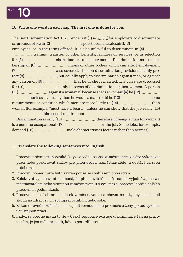

# **10. Write one word in each gap. The first one is done for you.**

| The Sex Discrimination Act 1975 renders it (1) <i>unlawful</i> for employers to discriminate |  |  |
|----------------------------------------------------------------------------------------------|--|--|
|                                                                                              |  |  |
| employees, or in the terms offered. It is also unlawful to discriminate in (4)               |  |  |
|                                                                                              |  |  |
|                                                                                              |  |  |
|                                                                                              |  |  |
|                                                                                              |  |  |
|                                                                                              |  |  |
|                                                                                              |  |  |
|                                                                                              |  |  |
|                                                                                              |  |  |
| her less favourably than he would a man, or (b) he (13) some                                 |  |  |
|                                                                                              |  |  |
| women (for example, "must have a beard") unless he can show that the job really (15)         |  |  |
|                                                                                              |  |  |
|                                                                                              |  |  |

Discrimination is only (16) *manually continued in the effore*, if being a man (or woman) is a genuine occupational (17) ------------------------------ for the job. Some jobs, for example, demand (18) ---------------------------- male characteristics (actor rather than actress).

# **11. Translate the following sentences into English.**

- 1. Pracovněprávní vztah vzniká, když se jedna osoba zaměstnanec zaváže vykonávat práci nebo poskytovat služby pro jinou osobu zaměstnavatele a dostává za svou práci mzdu.
- 2. Pracovní poměr může být uzavřen pouze se souhlasem obou stran.
- 3. Kolektivní vyjednávání znamená, že představitelé zaměstnanců vyjednávají se zaměstnavatelem nebo skupinou zaměstnavatelů o výši mezd, pracovní době a dalších pracovních podmínkách.
- 4. Pracovník musí chránit majetek zaměstnavatele a chovat se tak, aby nezpůsobil škodu na zdraví svým spolupracovníkům nebo sobě.
- 5. Zákon o rovné mzdě má za cíl zajistit rovnou mzdu pro muže a ženy, pokud vykonávají stejnou práci.
- 6. I když se obecně má za to, že v České republice existuje diskriminace žen na pracovištích, je jen málo případů, kdy to potvrdil i soud.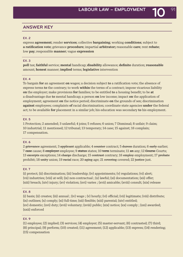

# **ANSWER KEY**

### **EX. 2**

express **agreement**; render **services**; collective **bargaining**; working **conditions**; subject to **a ratification vote**; grievance **procedure**; impartial **arbitrator;** reasonable **care**; rent **rebate**; low **pay**; responsible **manner**; vague **expression**

#### **EX. 3**

**poll** tax; **faithful** service; **mental** handicap; **disability** allowance; **definite** duration; **reasonable** amount; **honest** manner; **implied** terms; **legislative** intervention

#### **EX. 4**

To bargain **for** an agreement **on** wages; a decision subject **to** a ratification vote; the absence of express terms **to** the contrary; to work **within** the terms of a contract; impose vicarious liability **on** the employer; make provisions **for** families; to be entitled **to** a housing benefit; to be **at** a disadvantage due **to** mental handicap; a person **on** low income; impact **on** the application of employment; agreement **on** the notice period; discriminate **on** the grounds of sex; discrimination **against** employees; complaints **of** racial discrimination; coordinate state agencies **under** the federal act; to be available **for** placement in a similar job; his education was secondary **to** his employment.

#### **EX. 5**

1 Protection; 2 amended; 3 unlawful; 4 joins; 5 refuses; 6 union; 7 Dismissal; 8 unfair; 9 claim; 10 industrial; 11 mentioned; 12 tribunal; 13 temporary; 14 case; 15 against; 16 complain; 17 compensation.

### **EX. 6**

2 grievance agreement; 3 applicant applicable; 4 counter contract; 5 duress duration; 6 early earlier; 7 case cause; 8 employer employee; 9 status states; 10 term terminate; 11 an any; 12 Course Courts; 13 excerpts exceptions; 14 charge discharge; 15 contrast contrary; 16 employ employment; 17 probate prohibit; 18 unity union; 19 racial race; 20 aging age; 21 covering covered; 22 justice just.

#### **EX. 7**

(i) protect; (ii) discrimination; (iii) leadership; (iv) appointments; (v) regulations; (vi) alert; (vii) industries; (viii) at-will; (ix) non-contractual ; (x) lawful; (xi) documentation; (xii) offer; (xiii) breach; (xiv) injury; (xv) violation; (xvi) varies ; (xvii) amicable; (xviii) consult; (xix) release

#### **EX. 8**

(i) basis; (ii) creates; (iii) annual ; (iv) wage ; (v) hourly; (vi) official; (vii) legitimate; (viii) distribute; (ix) outlines; (x) comply; (xi) full-time; (xii) flexible; (xiii) parental; (xiv) entitled; (xv) domestic; (xvi) duty; (xvii) voluntary; (xviii) public; (xix) notice; (xx) comply ; (xxi) awarded; (xxii) enforced

#### **EX. 9**

(1) employee; (2) implied; (3) services; (4) employer; (5) master-servant; (6) contrasted; (7) third; (8) principal; (9) perform; (10) created; (11) agreement; (12) applicable; (13) express; (14) rendering; (15) compensation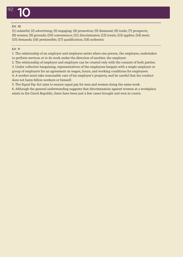

## **EX. 10**

(1) unlawful; (2) advertising; (3) engaging; (4) promotion; (5) dismissal; (6) trade; (7) prospects; (8) women; (9) grounds; (10) convenience; (11) discriminates; (12) treats; (13) applies; (14) meet; (15) demands; (16) permissible; (17) qualification; (18) authentic

## **EX. 11**

1. The relationship of an employer and employee exists when one person, the employee, undertakes to perform services or to do work under the direction of another, the employer.

2. The relationship of employer and employee can be created only with the consent of both parties.

3. Under collective bargaining, representatives of the employees bargain with a single employer or group of employers for an agreement on wages, hours, and working conditions for employees.

4. A worker must take reasonable care of his employer's property, and be careful that his conduct does not harm fellow workers or himself.

5. The Equal Pay Act aims to ensure equal pay for men and women doing the same work.

6. Although the general understanding suggests that discrimination against women at a workplace exists in the Czech Republic, there have been just a few cases brought and won in courts.